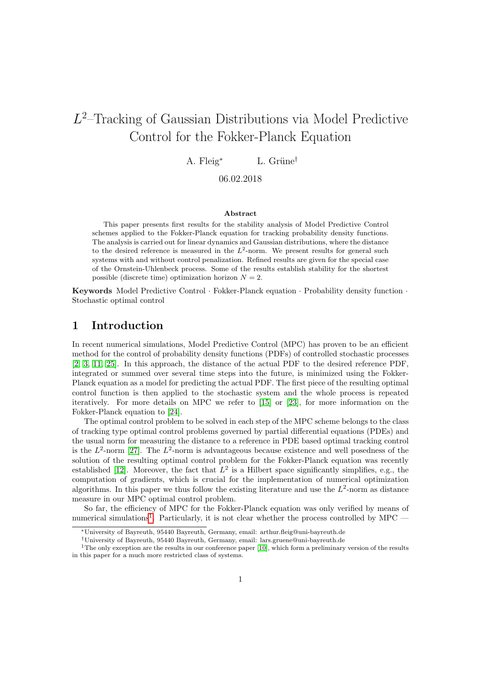# <span id="page-0-1"></span>L 2 –Tracking of Gaussian Distributions via Model Predictive Control for the Fokker-Planck Equation

A. Fleig<sup>\*</sup> L. Grüne<sup>†</sup>

06.02.2018

#### Abstract

This paper presents first results for the stability analysis of Model Predictive Control schemes applied to the Fokker-Planck equation for tracking probability density functions. The analysis is carried out for linear dynamics and Gaussian distributions, where the distance to the desired reference is measured in the  $L^2$ -norm. We present results for general such systems with and without control penalization. Refined results are given for the special case of the Ornstein-Uhlenbeck process. Some of the results establish stability for the shortest possible (discrete time) optimization horizon  $N = 2$ .

Keywords Model Predictive Control · Fokker-Planck equation · Probability density function · Stochastic optimal control

## 1 Introduction

In recent numerical simulations, Model Predictive Control (MPC) has proven to be an efficient method for the control of probability density functions (PDFs) of controlled stochastic processes [\[2,](#page-29-0) [3,](#page-29-1) [11,](#page-30-0) [25\]](#page-31-0). In this approach, the distance of the actual PDF to the desired reference PDF, integrated or summed over several time steps into the future, is minimized using the Fokker-Planck equation as a model for predicting the actual PDF. The first piece of the resulting optimal control function is then applied to the stochastic system and the whole process is repeated iteratively. For more details on MPC we refer to [\[15\]](#page-30-1) or [\[23\]](#page-30-2), for more information on the Fokker-Planck equation to [\[24\]](#page-30-3).

The optimal control problem to be solved in each step of the MPC scheme belongs to the class of tracking type optimal control problems governed by partial differential equations (PDEs) and the usual norm for measuring the distance to a reference in PDE based optimal tracking control is the  $L^2$ -norm [\[27\]](#page-31-1). The  $L^2$ -norm is advantageous because existence and well posedness of the solution of the resulting optimal control problem for the Fokker-Planck equation was recently established [\[12\]](#page-30-4). Moreover, the fact that  $L^2$  is a Hilbert space significantly simplifies, e.g., the computation of gradients, which is crucial for the implementation of numerical optimization algorithms. In this paper we thus follow the existing literature and use the  $L^2$ -norm as distance measure in our MPC optimal control problem.

So far, the efficiency of MPC for the Fokker-Planck equation was only verified by means of numerical simulations<sup>[1](#page-0-0)</sup>. Particularly, it is not clear whether the process controlled by  $\text{MPC}$  -

<sup>∗</sup>University of Bayreuth, 95440 Bayreuth, Germany, email: arthur.fleig@uni-bayreuth.de

<span id="page-0-0"></span><sup>†</sup>University of Bayreuth, 95440 Bayreuth, Germany, email: lars.gruene@uni-bayreuth.de

<sup>&</sup>lt;sup>1</sup>The only exception are the results in our conference paper [\[10\]](#page-30-5), which form a preliminary version of the results in this paper for a much more restricted class of systems.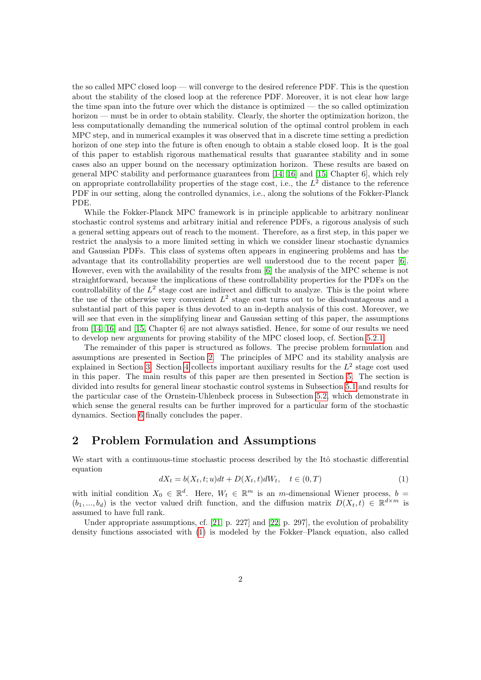the so called MPC closed loop — will converge to the desired reference PDF. This is the question about the stability of the closed loop at the reference PDF. Moreover, it is not clear how large the time span into the future over which the distance is optimized — the so called optimization horizon — must be in order to obtain stability. Clearly, the shorter the optimization horizon, the less computationally demanding the numerical solution of the optimal control problem in each MPC step, and in numerical examples it was observed that in a discrete time setting a prediction horizon of one step into the future is often enough to obtain a stable closed loop. It is the goal of this paper to establish rigorous mathematical results that guarantee stability and in some cases also an upper bound on the necessary optimization horizon. These results are based on general MPC stability and performance guarantees from [\[14,](#page-30-6) [16\]](#page-30-7) and [\[15,](#page-30-1) Chapter 6], which rely on appropriate controllability properties of the stage cost, i.e., the  $L^2$  distance to the reference PDF in our setting, along the controlled dynamics, i.e., along the solutions of the Fokker-Planck PDE.

While the Fokker-Planck MPC framework is in principle applicable to arbitrary nonlinear stochastic control systems and arbitrary initial and reference PDFs, a rigorous analysis of such a general setting appears out of reach to the moment. Therefore, as a first step, in this paper we restrict the analysis to a more limited setting in which we consider linear stochastic dynamics and Gaussian PDFs. This class of systems often appears in engineering problems and has the advantage that its controllability properties are well understood due to the recent paper [\[6\]](#page-29-2). However, even with the availability of the results from [\[6\]](#page-29-2) the analysis of the MPC scheme is not straightforward, because the implications of these controllability properties for the PDFs on the controllability of the  $L^2$  stage cost are indirect and difficult to analyze. This is the point where the use of the otherwise very convenient  $L^2$  stage cost turns out to be disadvantageous and a substantial part of this paper is thus devoted to an in-depth analysis of this cost. Moreover, we will see that even in the simplifying linear and Gaussian setting of this paper, the assumptions from [\[14,](#page-30-6) [16\]](#page-30-7) and [\[15,](#page-30-1) Chapter 6] are not always satisfied. Hence, for some of our results we need to develop new arguments for proving stability of the MPC closed loop, cf. Section [5.2.1.](#page-18-0)

The remainder of this paper is structured as follows. The precise problem formulation and assumptions are presented in Section [2.](#page-1-0) The principles of MPC and its stability analysis are explained in Section [3.](#page-6-0) Section [4](#page-8-0) collects important auxiliary results for the  $L^2$  stage cost used in this paper. The main results of this paper are then presented in Section [5.](#page-12-0) The section is divided into results for general linear stochastic control systems in Subsection [5.1](#page-13-0) and results for the particular case of the Ornstein-Uhlenbeck process in Subsection [5.2,](#page-17-0) which demonstrate in which sense the general results can be further improved for a particular form of the stochastic dynamics. Section [6](#page-29-3) finally concludes the paper.

## <span id="page-1-0"></span>2 Problem Formulation and Assumptions

We start with a continuous-time stochastic process described by the Itô stochastic differential equation

<span id="page-1-1"></span>
$$
dX_t = b(X_t, t; u)dt + D(X_t, t)dW_t, \quad t \in (0, T)
$$
\n
$$
(1)
$$

with initial condition  $X_0 \in \mathbb{R}^d$ . Here,  $W_t \in \mathbb{R}^m$  is an m-dimensional Wiener process,  $b =$  $(b_1, ..., b_d)$  is the vector valued drift function, and the diffusion matrix  $D(X_t, t) \in \mathbb{R}^{d \times m}$  is assumed to have full rank.

Under appropriate assumptions, cf. [\[21,](#page-30-8) p. 227] and [\[22,](#page-30-9) p. 297], the evolution of probability density functions associated with [\(1\)](#page-1-1) is modeled by the Fokker–Planck equation, also called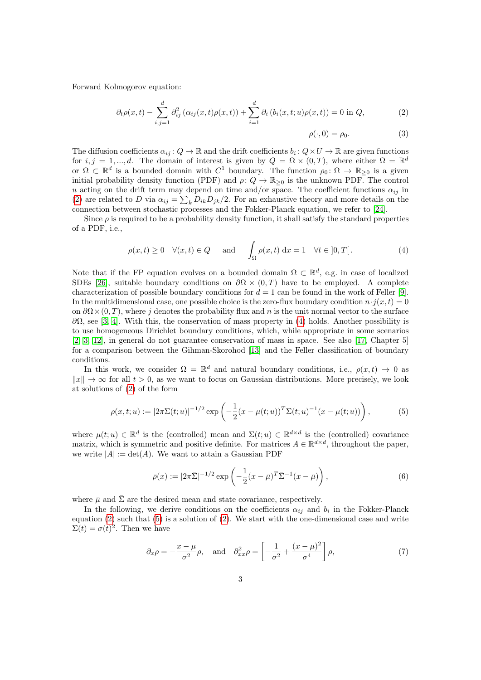Forward Kolmogorov equation:

$$
\partial_t \rho(x,t) - \sum_{i,j=1}^d \partial_{ij}^2 (\alpha_{ij}(x,t)\rho(x,t)) + \sum_{i=1}^d \partial_i (b_i(x,t;u)\rho(x,t)) = 0 \text{ in } Q,
$$
 (2)

<span id="page-2-3"></span><span id="page-2-0"></span>
$$
\rho(\cdot,0) = \rho_0. \tag{3}
$$

The diffusion coefficients  $\alpha_{ij}: Q \to \mathbb{R}$  and the drift coefficients  $b_i: Q \times U \to \mathbb{R}$  are given functions for  $i, j = 1, ..., d$ . The domain of interest is given by  $Q = \Omega \times (0, T)$ , where either  $\Omega = \mathbb{R}^d$ or  $\Omega \subset \mathbb{R}^d$  is a bounded domain with  $C^1$  boundary. The function  $\rho_0 \colon \Omega \to \mathbb{R}_{\geq 0}$  is a given initial probability density function (PDF) and  $\rho: Q \to \mathbb{R}_{\geq 0}$  is the unknown PDF. The control u acting on the drift term may depend on time and/or space. The coefficient functions  $\alpha_{ij}$  in [\(2\)](#page-2-0) are related to D via  $\alpha_{ij} = \sum_k D_{ik}D_{jk}/2$ . For an exhaustive theory and more details on the connection between stochastic processes and the Fokker-Planck equation, we refer to [\[24\]](#page-30-3).

Since  $\rho$  is required to be a probability density function, it shall satisfy the standard properties of a PDF, i.e.,

<span id="page-2-1"></span>
$$
\rho(x,t) \ge 0 \quad \forall (x,t) \in Q \quad \text{and} \quad \int_{\Omega} \rho(x,t) \, \mathrm{d}x = 1 \quad \forall t \in [0,T[.
$$
 (4)

Note that if the FP equation evolves on a bounded domain  $\Omega \subset \mathbb{R}^d$ , e.g. in case of localized SDEs [\[26\]](#page-31-2), suitable boundary conditions on  $\partial\Omega \times (0,T)$  have to be employed. A complete characterization of possible boundary conditions for  $d = 1$  can be found in the work of Feller [\[9\]](#page-30-10). In the multidimensional case, one possible choice is the zero-flux boundary condition  $n \cdot j(x, t) = 0$ on  $\partial\Omega\times(0,T)$ , where j denotes the probability flux and n is the unit normal vector to the surface  $\partial\Omega$ , see [\[3,](#page-29-1) [4\]](#page-29-4). With this, the conservation of mass property in [\(4\)](#page-2-1) holds. Another possibility is to use homogeneous Dirichlet boundary conditions, which, while appropriate in some scenarios [\[2,](#page-29-0) [3,](#page-29-1) [12\]](#page-30-4), in general do not guarantee conservation of mass in space. See also [\[17,](#page-30-11) Chapter 5] for a comparison between the Gihman-Skorohod [\[13\]](#page-30-12) and the Feller classification of boundary conditions.

In this work, we consider  $\Omega = \mathbb{R}^d$  and natural boundary conditions, i.e.,  $\rho(x,t) \to 0$  as  $||x|| \to \infty$  for all  $t > 0$ , as we want to focus on Gaussian distributions. More precisely, we look at solutions of [\(2\)](#page-2-0) of the form

<span id="page-2-2"></span>
$$
\rho(x, t; u) := |2\pi \Sigma(t; u)|^{-1/2} \exp\left(-\frac{1}{2}(x - \mu(t; u))^T \Sigma(t; u)^{-1}(x - \mu(t; u))\right),\tag{5}
$$

where  $\mu(t; u) \in \mathbb{R}^d$  is the (controlled) mean and  $\Sigma(t; u) \in \mathbb{R}^{d \times d}$  is the (controlled) covariance matrix, which is symmetric and positive definite. For matrices  $A \in \mathbb{R}^{d \times d}$ , throughout the paper, we write  $|A| := det(A)$ . We want to attain a Gaussian PDF

<span id="page-2-4"></span>
$$
\bar{\rho}(x) := |2\pi \bar{\Sigma}|^{-1/2} \exp\left(-\frac{1}{2}(x-\bar{\mu})^T \bar{\Sigma}^{-1}(x-\bar{\mu})\right),\tag{6}
$$

where  $\bar{\mu}$  and  $\bar{\Sigma}$  are the desired mean and state covariance, respectively.

In the following, we derive conditions on the coefficients  $\alpha_{ij}$  and  $b_i$  in the Fokker-Planck equation  $(2)$  such that  $(5)$  is a solution of  $(2)$ . We start with the one-dimensional case and write  $\Sigma(t) = \sigma(t)^2$ . Then we have

$$
\partial_x \rho = -\frac{x-\mu}{\sigma^2} \rho
$$
, and  $\partial_{xx}^2 \rho = \left[ -\frac{1}{\sigma^2} + \frac{(x-\mu)^2}{\sigma^4} \right] \rho$ , (7)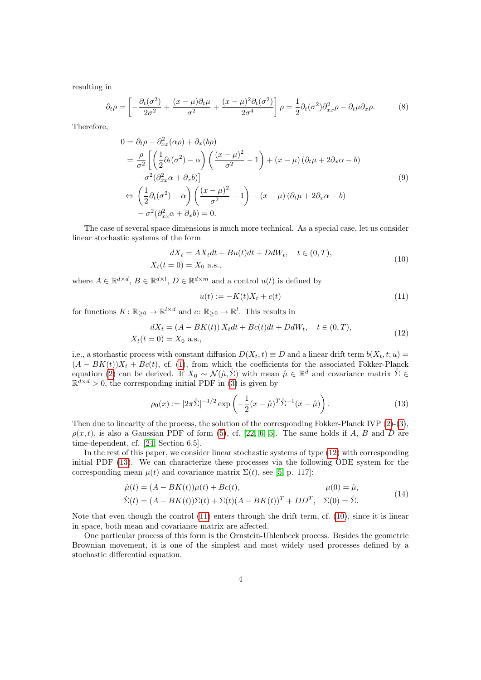resulting in

$$
\partial_t \rho = \left[ -\frac{\partial_t(\sigma^2)}{2\sigma^2} + \frac{(x-\mu)\partial_t \mu}{\sigma^2} + \frac{(x-\mu)^2 \partial_t(\sigma^2)}{2\sigma^4} \right] \rho = \frac{1}{2} \partial_t(\sigma^2) \partial_{xx}^2 \rho - \partial_t \mu \partial_x \rho. \tag{8}
$$

Therefore,

$$
0 = \partial_t \rho - \partial_{xx}^2 (\alpha \rho) + \partial_x (b \rho)
$$
  
=  $\frac{\rho}{\sigma^2} \left[ \left( \frac{1}{2} \partial_t (\sigma^2) - \alpha \right) \left( \frac{(x - \mu)^2}{\sigma^2} - 1 \right) + (x - \mu) (\partial_t \mu + 2 \partial_x \alpha - b)$   
 $-\sigma^2 (\partial_{xx}^2 \alpha + \partial_x b) \right]$   

$$
\Leftrightarrow \left( \frac{1}{2} \partial_t (\sigma^2) - \alpha \right) \left( \frac{(x - \mu)^2}{\sigma^2} - 1 \right) + (x - \mu) (\partial_t \mu + 2 \partial_x \alpha - b)
$$
  
 $-\sigma^2 (\partial_{xx}^2 \alpha + \partial_x b) = 0.$  (9)

The case of several space dimensions is much more technical. As a special case, let us consider linear stochastic systems of the form

<span id="page-3-3"></span>
$$
dX_t = AX_t dt + Bu(t)dt + DdW_t, \quad t \in (0, T),
$$
  

$$
X_t(t = 0) = X_0 \text{ a.s.},
$$
 (10)

where  $A \in \mathbb{R}^{d \times d}$ ,  $B \in \mathbb{R}^{d \times l}$ ,  $D \in \mathbb{R}^{d \times m}$  and a control  $u(t)$  is defined by

<span id="page-3-2"></span>
$$
u(t) := -K(t)X_t + c(t) \tag{11}
$$

for functions  $K: \mathbb{R}_{\geq 0} \to \mathbb{R}^{l \times d}$  and  $c: \mathbb{R}_{\geq 0} \to \mathbb{R}^{l}$ . This results in

<span id="page-3-0"></span>
$$
dX_t = (A - BK(t)) X_t dt + Bc(t)dt + DdW_t, \quad t \in (0, T),
$$
  

$$
X_t(t = 0) = X_0 \text{ a.s.},
$$
 (12)

i.e., a stochastic process with constant diffusion  $D(X_t, t) \equiv D$  and a linear drift term  $b(X_t, t; u) =$  $(A - BK(t))X_t + Bc(t)$ , cf. [\(1\)](#page-1-1), from which the coefficients for the associated Fokker-Planck equation [\(2\)](#page-2-0) can be derived. If  $X_0 \sim \mathcal{N}(\mathring{\mu}, \mathring{\Sigma})$  with mean  $\mathring{\mu} \in \mathbb{R}^d$  and covariance matrix  $\mathring{\Sigma} \in$  $\mathbb{R}^{d \times d} > 0$ , the corresponding initial PDF in [\(3\)](#page-2-3) is given by

<span id="page-3-1"></span>
$$
\rho_0(x) := |2\pi \mathring{\Sigma}|^{-1/2} \exp\left(-\frac{1}{2}(x-\mathring{\mu})^T \mathring{\Sigma}^{-1}(x-\mathring{\mu})\right). \tag{13}
$$

Then due to linearity of the process, the solution of the corresponding Fokker-Planck IVP  $(2)-(3)$  $(2)-(3)$  $(2)-(3)$ ,  $\rho(x, t)$ , is also a Gaussian PDF of form [\(5\)](#page-2-2), cf. [\[22,](#page-30-9) [6,](#page-29-2) [5\]](#page-29-5). The same holds if A, B and D are time-dependent, cf. [\[24,](#page-30-3) Section 6.5].

In the rest of this paper, we consider linear stochastic systems of type [\(12\)](#page-3-0) with corresponding initial PDF [\(13\)](#page-3-1). We can characterize these processes via the following ODE system for the corresponding mean  $\mu(t)$  and covariance matrix  $\Sigma(t)$ , see [\[5,](#page-29-5) p. 117]:

<span id="page-3-4"></span>
$$
\dot{\mu}(t) = (A - BK(t))\mu(t) + Bc(t), \qquad \mu(0) = \dot{\mu},
$$
\n
$$
\dot{\mu}(t) = (A - BK(t))\Sigma(t) + \Sigma(t)(A - \Sigma(t))T + \Sigma(t)\Sigma(T - \Sigma(t))\dot{\Sigma}(t)
$$
\n(14)

$$
\dot{\Sigma}(t) = (A - BK(t))\Sigma(t) + \Sigma(t)(A - BK(t))^T + DD^T, \quad \Sigma(0) = \dot{\Sigma}.
$$

Note that even though the control [\(11\)](#page-3-2) enters through the drift term, cf. [\(10\)](#page-3-3), since it is linear in space, both mean and covariance matrix are affected.

One particular process of this form is the Ornstein-Uhlenbeck process. Besides the geometric Brownian movement, it is one of the simplest and most widely used processes defined by a stochastic differential equation.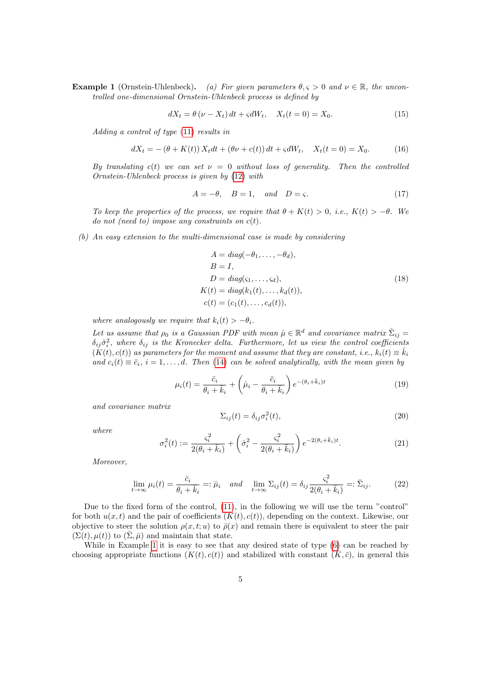**Example 1** (Ornstein-Uhlenbeck). (a) For given parameters  $\theta, \zeta > 0$  and  $\nu \in \mathbb{R}$ , the uncontrolled one-dimensional Ornstein-Uhlenbeck process is defined by

$$
dX_t = \theta(\nu - X_t) dt + \varsigma dW_t, \quad X_t(t = 0) = X_0.
$$
\n(15)

Adding a control of type [\(11\)](#page-3-2) results in

$$
dX_t = -(\theta + K(t)) X_t dt + (\theta \nu + c(t)) dt + \varsigma dW_t, \quad X_t(t = 0) = X_0.
$$
 (16)

By translating c(t) we can set  $\nu = 0$  without loss of generality. Then the controlled Ornstein-Uhlenbeck process is given by [\(12\)](#page-3-0) with

$$
A = -\theta, \quad B = 1, \quad and \quad D = \varsigma. \tag{17}
$$

To keep the properties of the process, we require that  $\theta + K(t) > 0$ , i.e.,  $K(t) > -\theta$ . We do not (need to) impose any constraints on  $c(t)$ .

(b) An easy extension to the multi-dimensional case is made by considering

<span id="page-4-0"></span>
$$
A = diag(-\theta_1, \dots, -\theta_d),
$$
  
\n
$$
B = I,
$$
  
\n
$$
D = diag(\varsigma_1, \dots, \varsigma_d),
$$
  
\n
$$
K(t) = diag(k_1(t), \dots, k_d(t)),
$$
  
\n
$$
c(t) = (c_1(t), \dots, c_d(t)),
$$
\n(18)

where analogously we require that  $k_i(t) > -\theta_i$ .

Let us assume that  $\rho_0$  is a Gaussian PDF with mean  $\mathring{\mu} \in \mathbb{R}^d$  and covariance matrix  $\mathring{\Sigma}_{ij} =$  $\delta_{ij}\delta_i^2$ , where  $\delta_{ij}$  is the Kronecker delta. Furthermore, let us view the control coefficients  $(K(t), c(t))$  as parameters for the moment and assume that they are constant, i.e.,  $k_i(t) \equiv \overline{k}_i$ and  $c_i(t) \equiv \bar{c}_i$ ,  $i = 1, \ldots, d$ . Then [\(14\)](#page-3-4) can be solved analytically, with the mean given by

<span id="page-4-1"></span>
$$
\mu_i(t) = \frac{\bar{c}_i}{\theta_i + \bar{k}_i} + \left(\mathring{\mu}_i - \frac{\bar{c}_i}{\theta_i + \bar{k}_i}\right) e^{-(\theta_i + \bar{k}_i)t} \tag{19}
$$

and covariance matrix

<span id="page-4-4"></span>
$$
\Sigma_{ij}(t) = \delta_{ij}\sigma_i^2(t),\tag{20}
$$

where

<span id="page-4-2"></span>
$$
\sigma_i^2(t) := \frac{\varsigma_i^2}{2(\theta_i + \bar{k}_i)} + \left(\mathring{\sigma}_i^2 - \frac{\varsigma_i^2}{2(\theta_i + \bar{k}_i)}\right) e^{-2(\theta_i + \bar{k}_i)t}.\tag{21}
$$

Moreover,

<span id="page-4-3"></span>
$$
\lim_{t \to \infty} \mu_i(t) = \frac{\bar{c}_i}{\theta_i + \bar{k}_i} =: \bar{\mu}_i \quad and \quad \lim_{t \to \infty} \Sigma_{ij}(t) = \delta_{ij} \frac{\varsigma_i^2}{2(\theta_i + \bar{k}_i)} =: \bar{\Sigma}_{ij}.
$$
 (22)

Due to the fixed form of the control, [\(11\)](#page-3-2), in the following we will use the term "control" for both  $u(x, t)$  and the pair of coefficients  $(K(t), c(t))$ , depending on the context. Likewise, our objective to steer the solution  $\rho(x, t; u)$  to  $\bar{\rho}(x)$  and remain there is equivalent to steer the pair  $(\Sigma(t), \mu(t))$  to  $(\overline{\Sigma}, \overline{\mu})$  and maintain that state.

While in Example [1](#page-0-1) it is easy to see that any desired state of type  $(6)$  can be reached by choosing appropriate functions  $(K(t), c(t))$  and stabilized with constant  $(\overline{K}, \overline{c})$ , in general this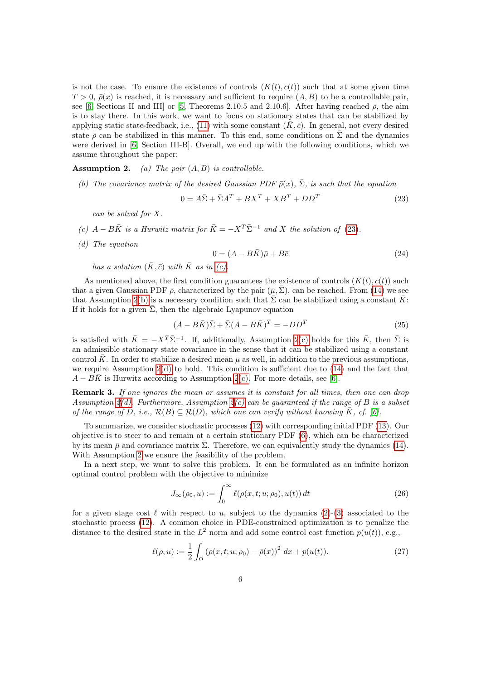is not the case. To ensure the existence of controls  $(K(t), c(t))$  such that at some given time  $T > 0$ ,  $\bar{\rho}(x)$  is reached, it is necessary and sufficient to require  $(A, B)$  to be a controllable pair, see [\[6,](#page-29-2) Sections II and III] or [\[5,](#page-29-5) Theorems 2.10.5 and 2.10.6]. After having reached  $\bar{\rho}$ , the aim is to stay there. In this work, we want to focus on stationary states that can be stabilized by applying static state-feedback, i.e., [\(11\)](#page-3-2) with some constant  $(K, \bar{c})$ . In general, not every desired state  $\bar{\rho}$  can be stabilized in this manner. To this end, some conditions on  $\bar{\Sigma}$  and the dynamics were derived in [\[6,](#page-29-2) Section III-B]. Overall, we end up with the following conditions, which we assume throughout the paper:

<span id="page-5-6"></span>**Assumption 2.** (a) The pair  $(A, B)$  is controllable.

<span id="page-5-2"></span>(b) The covariance matrix of the desired Gaussian PDF  $\bar{\rho}(x)$ ,  $\bar{\Sigma}$ , is such that the equation

<span id="page-5-0"></span>
$$
0 = A\bar{\Sigma} + \bar{\Sigma}A^T + BX^T + XB^T + DD^T \tag{23}
$$

can be solved for X.

- <span id="page-5-1"></span>(c)  $A - B\overline{K}$  is a Hurwitz matrix for  $\overline{K} = -X^T \overline{\Sigma}^{-1}$  and X the solution of [\(23\)](#page-5-0).
- <span id="page-5-3"></span>(d) The equation

$$
0 = (A - B\bar{K})\bar{\mu} + B\bar{c}
$$
\n<sup>(24)</sup>

has a solution  $(\bar{K}, \bar{c})$  with  $\bar{K}$  as in [\(c\).](#page-5-1)

As mentioned above, the first condition guarantees the existence of controls  $(K(t), c(t))$  such that a given Gaussian PDF  $\bar{\rho}$ , characterized by the pair  $(\bar{\mu}, \bar{\Sigma})$ , can be reached. From [\(14\)](#page-3-4) we see that Assumption [2](#page-0-1)[\(b\)](#page-5-2) is a necessary condition such that  $\bar{\Sigma}$  can be stabilized using a constant  $\bar{K}$ : If it holds for a given  $\bar{\Sigma}$ , then the algebraic Lyapunov equation

<span id="page-5-5"></span>
$$
(A - B\overline{K})\overline{\Sigma} + \overline{\Sigma}(A - B\overline{K})^T = -DD^T
$$
\n(25)

is satisfied with  $\bar{K} = -X^T \bar{\Sigma}^{-1}$ . If, additionally, Assumption [2](#page-0-1)[\(c\)](#page-5-1) holds for this  $\bar{K}$ , then  $\bar{\Sigma}$  is an admissible stationary state covariance in the sense that it can be stabilized using a constant control  $\bar{K}$ . In order to stabilize a desired mean  $\bar{\mu}$  as well, in addition to the previous assumptions, we require Assumption  $2(d)$  $2(d)$  to hold. This condition is sufficient due to  $(14)$  and the fact that  $A - BK$  is Hurwitz according to Assumption [2](#page-0-1)[\(c\).](#page-5-1) For more details, see [\[6\]](#page-29-2).

Remark 3. If one ignores the mean or assumes it is constant for all times, then one can drop Assumption [2](#page-0-1)[\(d\).](#page-5-3) Furthermore, Assumption 2[\(c\)](#page-5-1) can be guaranteed if the range of B is a subset of the range of D, i.e.,  $\mathcal{R}(B) \subseteq \mathcal{R}(D)$ , which one can verify without knowing K, cf. [\[6\]](#page-29-2).

To summarize, we consider stochastic processes [\(12\)](#page-3-0) with corresponding initial PDF [\(13\)](#page-3-1). Our objective is to steer to and remain at a certain stationary PDF [\(6\)](#page-2-4), which can be characterized by its mean  $\bar{\mu}$  and covariance matrix  $\bar{\Sigma}$ . Therefore, we can equivalently study the dynamics [\(14\)](#page-3-4). With Assumption [2](#page-0-1) we ensure the feasibility of the problem.

In a next step, we want to solve this problem. It can be formulated as an infinite horizon optimal control problem with the objective to minimize

<span id="page-5-4"></span>
$$
J_{\infty}(\rho_0, u) := \int_0^{\infty} \ell(\rho(x, t; u; \rho_0), u(t)) dt
$$
\n(26)

for a given stage cost  $\ell$  with respect to u, subject to the dynamics [\(2\)](#page-2-0)-[\(3\)](#page-2-3) associated to the stochastic process [\(12\)](#page-3-0). A common choice in PDE-constrained optimization is to penalize the distance to the desired state in the  $L^2$  norm and add some control cost function  $p(u(t))$ , e.g.,

$$
\ell(\rho, u) := \frac{1}{2} \int_{\Omega} (\rho(x, t; u; \rho_0) - \bar{\rho}(x))^2 dx + p(u(t)).
$$
\n(27)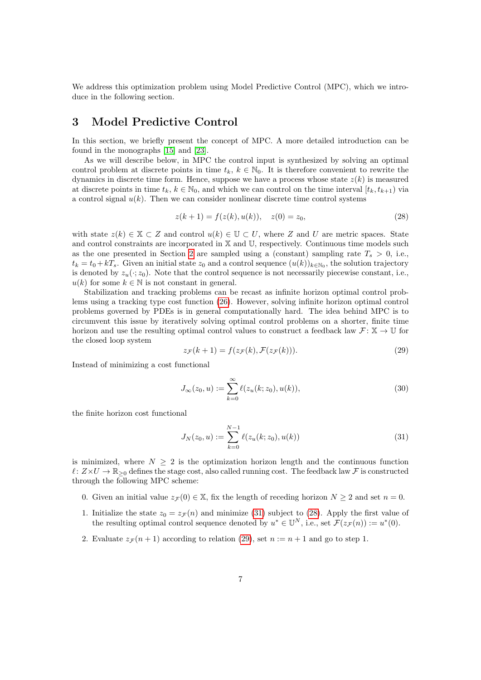We address this optimization problem using Model Predictive Control (MPC), which we introduce in the following section.

# <span id="page-6-0"></span>3 Model Predictive Control

In this section, we briefly present the concept of MPC. A more detailed introduction can be found in the monographs [\[15\]](#page-30-1) and [\[23\]](#page-30-2).

As we will describe below, in MPC the control input is synthesized by solving an optimal control problem at discrete points in time  $t_k, k \in \mathbb{N}_0$ . It is therefore convenient to rewrite the dynamics in discrete time form. Hence, suppose we have a process whose state  $z(k)$  is measured at discrete points in time  $t_k, k \in \mathbb{N}_0$ , and which we can control on the time interval  $[t_k, t_{k+1})$  via a control signal  $u(k)$ . Then we can consider nonlinear discrete time control systems

<span id="page-6-2"></span>
$$
z(k+1) = f(z(k), u(k)), \quad z(0) = z_0,
$$
\n(28)

with state  $z(k) \in \mathbb{X} \subset Z$  and control  $u(k) \in \mathbb{U} \subset U$ , where Z and U are metric spaces. State and control constraints are incorporated in X and U, respectively. Continuous time models such as the one presented in Section [2](#page-1-0) are sampled using a (constant) sampling rate  $T_s > 0$ , i.e.,  $t_k = t_0 + kT_s$ . Given an initial state  $z_0$  and a control sequence  $(u(k))_{k \in \mathbb{N}_0}$ , the solution trajectory is denoted by  $z_u(\cdot; z_0)$ . Note that the control sequence is not necessarily piecewise constant, i.e.,  $u(k)$  for some  $k \in \mathbb{N}$  is not constant in general.

Stabilization and tracking problems can be recast as infinite horizon optimal control problems using a tracking type cost function [\(26\)](#page-5-4). However, solving infinite horizon optimal control problems governed by PDEs is in general computationally hard. The idea behind MPC is to circumvent this issue by iteratively solving optimal control problems on a shorter, finite time horizon and use the resulting optimal control values to construct a feedback law  $\mathcal{F} \colon \mathbb{X} \to \mathbb{U}$  for the closed loop system

<span id="page-6-3"></span>
$$
z_{\mathcal{F}}(k+1) = f(z_{\mathcal{F}}(k), \mathcal{F}(z_{\mathcal{F}}(k))).
$$
\n(29)

Instead of minimizing a cost functional

<span id="page-6-4"></span>
$$
J_{\infty}(z_0, u) := \sum_{k=0}^{\infty} \ell(z_u(k; z_0), u(k)),
$$
\n(30)

the finite horizon cost functional

<span id="page-6-1"></span>
$$
J_N(z_0, u) := \sum_{k=0}^{N-1} \ell(z_u(k; z_0), u(k))
$$
\n(31)

is minimized, where  $N \geq 2$  is the optimization horizon length and the continuous function  $\ell : Z \times U \to \mathbb{R}_{\geq 0}$  defines the stage cost, also called running cost. The feedback law F is constructed through the following MPC scheme:

- 0. Given an initial value  $z_{\mathcal{F}}(0) \in \mathbb{X}$ , fix the length of receding horizon  $N \geq 2$  and set  $n = 0$ .
- 1. Initialize the state  $z_0 = z_{\mathcal{F}}(n)$  and minimize [\(31\)](#page-6-1) subject to [\(28\)](#page-6-2). Apply the first value of the resulting optimal control sequence denoted by  $u^* \in \mathbb{U}^N$ , i.e., set  $\mathcal{F}(z_{\mathcal{F}}(n)) := u^*(0)$ .
- 2. Evaluate  $z_{\mathcal{F}}(n+1)$  according to relation [\(29\)](#page-6-3), set  $n := n+1$  and go to step 1.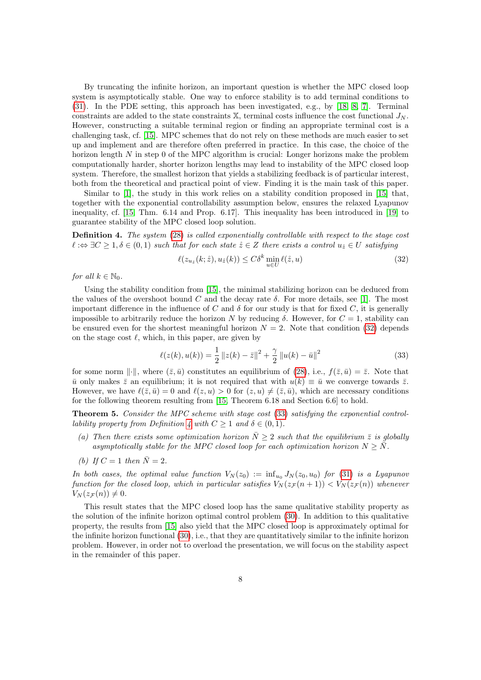By truncating the infinite horizon, an important question is whether the MPC closed loop system is asymptotically stable. One way to enforce stability is to add terminal conditions to [\(31\)](#page-6-1). In the PDE setting, this approach has been investigated, e.g., by [\[18,](#page-30-13) [8,](#page-29-6) [7\]](#page-29-7). Terminal constraints are added to the state constraints  $X$ , terminal costs influence the cost functional  $J_N$ . However, constructing a suitable terminal region or finding an appropriate terminal cost is a challenging task, cf. [\[15\]](#page-30-1). MPC schemes that do not rely on these methods are much easier to set up and implement and are therefore often preferred in practice. In this case, the choice of the horizon length  $N$  in step 0 of the MPC algorithm is crucial: Longer horizons make the problem computationally harder, shorter horizon lengths may lead to instability of the MPC closed loop system. Therefore, the smallest horizon that yields a stabilizing feedback is of particular interest, both from the theoretical and practical point of view. Finding it is the main task of this paper.

Similar to [\[1\]](#page-29-8), the study in this work relies on a stability condition proposed in [\[15\]](#page-30-1) that, together with the exponential controllability assumption below, ensures the relaxed Lyapunov inequality, cf. [\[15,](#page-30-1) Thm. 6.14 and Prop. 6.17]. This inequality has been introduced in [\[19\]](#page-30-14) to guarantee stability of the MPC closed loop solution.

<span id="page-7-2"></span>Definition 4. The system [\(28\)](#page-6-2) is called exponentially controllable with respect to the stage cost  $\ell : \Leftrightarrow \exists C \geq 1, \delta \in (0,1)$  such that for each state  $\dot{z} \in Z$  there exists a control  $u_{\dot{z}} \in U$  satisfying

<span id="page-7-0"></span>
$$
\ell(z_{u_{\hat{z}}}(k;\hat{z}), u_{\hat{z}}(k)) \le C\delta^k \min_{u \in U} \ell(\hat{z}, u)
$$
\n(32)

for all  $k \in \mathbb{N}_0$ .

Using the stability condition from [\[15\]](#page-30-1), the minimal stabilizing horizon can be deduced from the values of the overshoot bound C and the decay rate  $\delta$ . For more details, see [\[1\]](#page-29-8). The most important difference in the influence of C and  $\delta$  for our study is that for fixed C, it is generally impossible to arbitrarily reduce the horizon N by reducing  $\delta$ . However, for  $C = 1$ , stability can be ensured even for the shortest meaningful horizon  $N = 2$ . Note that condition [\(32\)](#page-7-0) depends on the stage cost  $\ell$ , which, in this paper, are given by

<span id="page-7-1"></span>
$$
\ell(z(k), u(k)) = \frac{1}{2} ||z(k) - \bar{z}||^2 + \frac{\gamma}{2} ||u(k) - \bar{u}||^2
$$
\n(33)

for some norm  $\|\cdot\|$ , where  $(\bar{z}, \bar{u})$  constitutes an equilibrium of [\(28\)](#page-6-2), i.e.,  $f(\bar{z}, \bar{u}) = \bar{z}$ . Note that  $\bar{u}$  only makes  $\bar{z}$  an equilibrium; it is not required that with  $u(k) \equiv \bar{u}$  we converge towards  $\bar{z}$ . However, we have  $\ell(\bar{z}, \bar{u}) = 0$  and  $\ell(z, u) > 0$  for  $(z, u) \neq (\bar{z}, \bar{u})$ , which are necessary conditions for the following theorem resulting from [\[15,](#page-30-1) Theorem 6.18 and Section 6.6] to hold.

<span id="page-7-3"></span>Theorem 5. Consider the MPC scheme with stage cost [\(33\)](#page-7-1) satisfying the exponential control-lability property from Definition [4](#page-7-2) with  $C \geq 1$  and  $\delta \in (0,1)$ .

- (a) Then there exists some optimization horizon  $\bar{N} \geq 2$  such that the equilibrium  $\bar{z}$  is globally asymptotically stable for the MPC closed loop for each optimization horizon  $N > N$ .
- (b) If  $C = 1$  then  $\overline{N} = 2$ .

In both cases, the optimal value function  $V_N(z_0) := \inf_{u_0} J_N(z_0, u_0)$  for [\(31\)](#page-6-1) is a Lyapunov function for the closed loop, which in particular satisfies  $V_N(z_F(n+1)) < V_N(z_F(n))$  whenever  $V_N(z_{\mathcal{F}}(n)) \neq 0.$ 

This result states that the MPC closed loop has the same qualitative stability property as the solution of the infinite horizon optimal control problem [\(30\)](#page-6-4). In addition to this qualitative property, the results from [\[15\]](#page-30-1) also yield that the MPC closed loop is approximately optimal for the infinite horizon functional [\(30\)](#page-6-4), i.e., that they are quantitatively similar to the infinite horizon problem. However, in order not to overload the presentation, we will focus on the stability aspect in the remainder of this paper.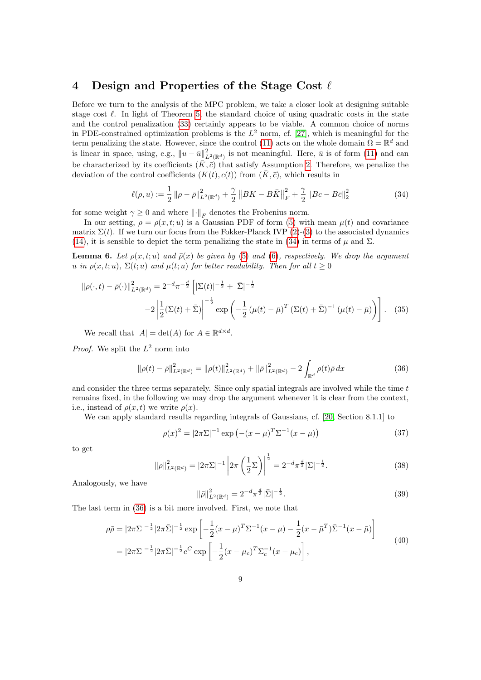## <span id="page-8-0"></span>4 Design and Properties of the Stage Cost  $\ell$

Before we turn to the analysis of the MPC problem, we take a closer look at designing suitable stage cost  $\ell$ . In light of Theorem [5,](#page-7-3) the standard choice of using quadratic costs in the state and the control penalization [\(33\)](#page-7-1) certainly appears to be viable. A common choice of norms in PDE-constrained optimization problems is the  $L^2$  norm, cf. [\[27\]](#page-31-1), which is meaningful for the term penalizing the state. However, since the control [\(11\)](#page-3-2) acts on the whole domain  $\Omega = \mathbb{R}^d$  and is linear in space, using, e.g.,  $||u - \bar{u}||^2_{L^2(\mathbb{R}^d)}$  is not meaningful. Here,  $\bar{u}$  is of form [\(11\)](#page-3-2) and can be characterized by its coefficients  $(K, \bar{c})$  that satisfy Assumption [2.](#page-0-1) Therefore, we penalize the deviation of the control coefficients  $(K(t), c(t))$  from  $(\bar{K}, \bar{c})$ , which results in

<span id="page-8-1"></span>
$$
\ell(\rho, u) := \frac{1}{2} \left\| \rho - \bar{\rho} \right\|_{L^2(\mathbb{R}^d)}^2 + \frac{\gamma}{2} \left\| BK - B\bar{K} \right\|_F^2 + \frac{\gamma}{2} \left\| Bc - B\bar{c} \right\|_2^2 \tag{34}
$$

for some weight  $\gamma \geq 0$  and where  $\lVert \cdot \rVert_F$  denotes the Frobenius norm.

In our setting,  $\rho = \rho(x, t; u)$  is a Gaussian PDF of form [\(5\)](#page-2-2) with mean  $\mu(t)$  and covariance matrix  $\Sigma(t)$ . If we turn our focus from the Fokker-Planck IVP [\(2\)](#page-2-0)-[\(3\)](#page-2-3) to the associated dynamics [\(14\)](#page-3-4), it is sensible to depict the term penalizing the state in [\(34\)](#page-8-1) in terms of  $\mu$  and  $\Sigma$ .

<span id="page-8-4"></span>**Lemma 6.** Let  $\rho(x, t; u)$  and  $\bar{\rho}(x)$  be given by [\(5\)](#page-2-2) and [\(6\)](#page-2-4), respectively. We drop the argument u in  $\rho(x, t; u)$ ,  $\Sigma(t; u)$  and  $\mu(t; u)$  for better readability. Then for all  $t > 0$ 

$$
\|\rho(\cdot,t) - \bar{\rho}(\cdot)\|_{L^2(\mathbb{R}^d)}^2 = 2^{-d}\pi^{-\frac{d}{2}} \left[|\Sigma(t)|^{-\frac{1}{2}} + |\bar{\Sigma}|^{-\frac{1}{2}} \right]
$$
  

$$
-2\left|\frac{1}{2}(\Sigma(t) + \bar{\Sigma})\right|^{-\frac{1}{2}} \exp\left(-\frac{1}{2}\left(\mu(t) - \bar{\mu}\right)^T \left(\Sigma(t) + \bar{\Sigma}\right)^{-1}\left(\mu(t) - \bar{\mu}\right)\right)\right].
$$
 (35)

We recall that  $|A| = \det(A)$  for  $A \in \mathbb{R}^{d \times d}$ .

*Proof.* We split the  $L^2$  norm into

<span id="page-8-5"></span><span id="page-8-2"></span>
$$
\|\rho(t) - \bar{\rho}\|_{L^2(\mathbb{R}^d)}^2 = \|\rho(t)\|_{L^2(\mathbb{R}^d)}^2 + \|\bar{\rho}\|_{L^2(\mathbb{R}^d)}^2 - 2\int_{\mathbb{R}^d} \rho(t)\bar{\rho} \, dx \tag{36}
$$

and consider the three terms separately. Since only spatial integrals are involved while the time t remains fixed, in the following we may drop the argument whenever it is clear from the context, i.e., instead of  $\rho(x, t)$  we write  $\rho(x)$ .

We can apply standard results regarding integrals of Gaussians, cf. [\[20,](#page-30-15) Section 8.1.1] to

$$
\rho(x)^2 = |2\pi\Sigma|^{-1} \exp(-(x-\mu)^T\Sigma^{-1}(x-\mu))
$$
\n(37)

to get

$$
\|\rho\|_{L^2(\mathbb{R}^d)}^2 = |2\pi\Sigma|^{-1} \left| 2\pi \left(\frac{1}{2}\Sigma\right) \right|^{\frac{1}{2}} = 2^{-d} \pi^{\frac{d}{2}} |\Sigma|^{-\frac{1}{2}}.
$$
 (38)

Analogously, we have

$$
\|\bar{\rho}\|_{L^2(\mathbb{R}^d)}^2 = 2^{-d} \pi^{\frac{d}{2}} |\bar{\Sigma}|^{-\frac{1}{2}}.
$$
\n(39)

The last term in [\(36\)](#page-8-2) is a bit more involved. First, we note that

<span id="page-8-3"></span>
$$
\rho \bar{\rho} = |2\pi \Sigma|^{-\frac{1}{2}} |2\pi \bar{\Sigma}|^{-\frac{1}{2}} \exp\left[ -\frac{1}{2} (x - \mu)^T \Sigma^{-1} (x - \mu) - \frac{1}{2} (x - \bar{\mu}^T) \bar{\Sigma}^{-1} (x - \bar{\mu}) \right]
$$
  
=  $|2\pi \Sigma|^{-\frac{1}{2}} |2\pi \bar{\Sigma}|^{-\frac{1}{2}} e^C \exp\left[ -\frac{1}{2} (x - \mu_c)^T \Sigma_c^{-1} (x - \mu_c) \right],$  (40)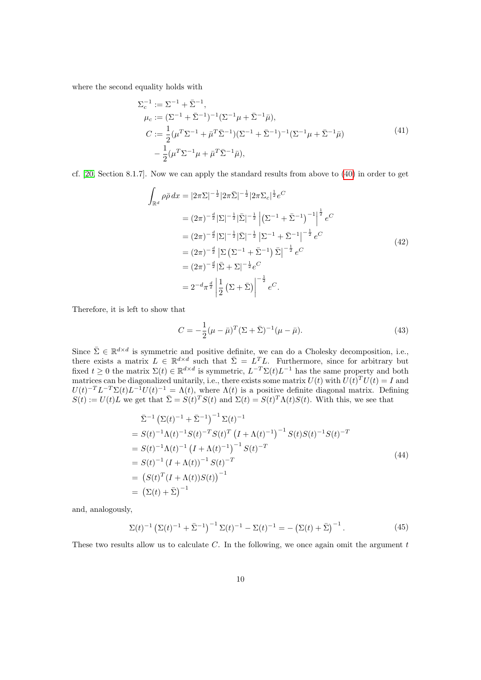where the second equality holds with

$$
\Sigma_c^{-1} := \Sigma^{-1} + \bar{\Sigma}^{-1}, \n\mu_c := (\Sigma^{-1} + \bar{\Sigma}^{-1})^{-1} (\Sigma^{-1} \mu + \bar{\Sigma}^{-1} \bar{\mu}), \nC := \frac{1}{2} (\mu^T \Sigma^{-1} + \bar{\mu}^T \bar{\Sigma}^{-1}) (\Sigma^{-1} + \bar{\Sigma}^{-1})^{-1} (\Sigma^{-1} \mu + \bar{\Sigma}^{-1} \bar{\mu}) \n- \frac{1}{2} (\mu^T \Sigma^{-1} \mu + \bar{\mu}^T \bar{\Sigma}^{-1} \bar{\mu}),
$$
\n(41)

cf. [\[20,](#page-30-15) Section 8.1.7]. Now we can apply the standard results from above to [\(40\)](#page-8-3) in order to get

$$
\int_{\mathbb{R}^d} \rho \bar{\rho} \, dx = |2\pi \Sigma|^{-\frac{1}{2}} |2\pi \bar{\Sigma}|^{-\frac{1}{2}} |2\pi \Sigma_c|^{\frac{1}{2}} e^C
$$
\n
$$
= (2\pi)^{-\frac{d}{2}} |\Sigma|^{-\frac{1}{2}} |\bar{\Sigma}|^{-\frac{1}{2}} \left| (\Sigma^{-1} + \bar{\Sigma}^{-1})^{-1} \right|^{\frac{1}{2}} e^C
$$
\n
$$
= (2\pi)^{-\frac{d}{2}} |\Sigma|^{-\frac{1}{2}} |\bar{\Sigma}|^{-\frac{1}{2}} |\Sigma^{-1} + \bar{\Sigma}^{-1}|^{-\frac{1}{2}} e^C
$$
\n
$$
= (2\pi)^{-\frac{d}{2}} |\Sigma (\Sigma^{-1} + \bar{\Sigma}^{-1}) \bar{\Sigma}|^{-\frac{1}{2}} e^C
$$
\n
$$
= (2\pi)^{-\frac{d}{2}} |\bar{\Sigma} + \Sigma|^{-\frac{1}{2}} e^C
$$
\n
$$
= 2^{-d} \pi^{\frac{d}{2}} \left| \frac{1}{2} (\Sigma + \bar{\Sigma}) \right|^{-\frac{1}{2}} e^C.
$$
\n(42)

Therefore, it is left to show that

$$
C = -\frac{1}{2}(\mu - \bar{\mu})^T (\Sigma + \bar{\Sigma})^{-1} (\mu - \bar{\mu}).
$$
\n(43)

Since  $\bar{\Sigma} \in \mathbb{R}^{d \times d}$  is symmetric and positive definite, we can do a Cholesky decomposition, i.e., there exists a matrix  $L \in \mathbb{R}^{d \times d}$  such that  $\overline{\Sigma} = L^T L$ . Furthermore, since for arbitrary but fixed  $t \geq 0$  the matrix  $\Sigma(t) \in \mathbb{R}^{d \times d}$  is symmetric,  $L^{-T} \Sigma(t) L^{-1}$  has the same property and both matrices can be diagonalized unitarily, i.e., there exists some matrix  $U(t)$  with  $U(t)^T U(t) = I$  and  $U(t)^{-T}L^{-T}\Sigma(t)L^{-1}U(t)^{-1} = \Lambda(t)$ , where  $\Lambda(t)$  is a positive definite diagonal matrix. Defining  $S(t) := U(t)L$  we get that  $\bar{\Sigma} = S(t)^T S(t)$  and  $\Sigma(t) = S(t)^T \Lambda(t) S(t)$ . With this, we see that

$$
\begin{split}\n\bar{\Sigma}^{-1} \left( \Sigma(t)^{-1} + \bar{\Sigma}^{-1} \right)^{-1} \Sigma(t)^{-1} \\
&= S(t)^{-1} \Lambda(t)^{-1} S(t)^{-T} S(t)^{T} \left( I + \Lambda(t)^{-1} \right)^{-1} S(t) S(t)^{-1} S(t)^{-T} \\
&= S(t)^{-1} \Lambda(t)^{-1} \left( I + \Lambda(t)^{-1} \right)^{-1} S(t)^{-T} \\
&= S(t)^{-1} \left( I + \Lambda(t) \right)^{-1} S(t)^{-T} \\
&= \left( S(t)^{T} (I + \Lambda(t)) S(t) \right)^{-1} \\
&= \left( \Sigma(t) + \bar{\Sigma} \right)^{-1}\n\end{split} \tag{44}
$$

and, analogously,

$$
\Sigma(t)^{-1} \left( \Sigma(t)^{-1} + \bar{\Sigma}^{-1} \right)^{-1} \Sigma(t)^{-1} - \Sigma(t)^{-1} = - \left( \Sigma(t) + \bar{\Sigma} \right)^{-1}.
$$
 (45)

These two results allow us to calculate  $C$ . In the following, we once again omit the argument  $t$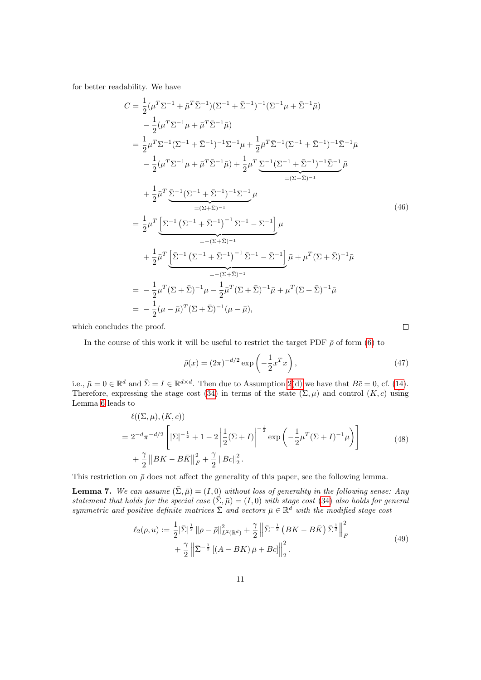for better readability. We have

$$
C = \frac{1}{2} (\mu^T \Sigma^{-1} + \bar{\mu}^T \bar{\Sigma}^{-1}) (\Sigma^{-1} + \bar{\Sigma}^{-1})^{-1} (\Sigma^{-1} \mu + \bar{\Sigma}^{-1} \bar{\mu})
$$
  
\n
$$
- \frac{1}{2} (\mu^T \Sigma^{-1} \mu + \bar{\mu}^T \bar{\Sigma}^{-1} \bar{\mu})
$$
  
\n
$$
= \frac{1}{2} \mu^T \Sigma^{-1} (\Sigma^{-1} + \bar{\Sigma}^{-1})^{-1} \Sigma^{-1} \mu + \frac{1}{2} \bar{\mu}^T \bar{\Sigma}^{-1} (\Sigma^{-1} + \bar{\Sigma}^{-1})^{-1} \bar{\Sigma}^{-1} \bar{\mu}
$$
  
\n
$$
- \frac{1}{2} (\mu^T \Sigma^{-1} \mu + \bar{\mu}^T \bar{\Sigma}^{-1} \bar{\mu}) + \frac{1}{2} \mu^T \underbrace{\Sigma^{-1} (\Sigma^{-1} + \bar{\Sigma}^{-1})^{-1} \bar{\Sigma}^{-1} \bar{\mu}}_{=(\Sigma + \bar{\Sigma})^{-1}}
$$
  
\n
$$
+ \frac{1}{2} \bar{\mu}^T \underbrace{\bar{\Sigma}^{-1} (\Sigma^{-1} + \bar{\Sigma}^{-1})^{-1} \Sigma^{-1} \mu}_{=(\Sigma + \bar{\Sigma})^{-1}}
$$
  
\n
$$
= \frac{1}{2} \mu^T \underbrace{\left[\Sigma^{-1} (\Sigma^{-1} + \bar{\Sigma}^{-1})^{-1} \Sigma^{-1} - \Sigma^{-1}\right] \mu}_{=(\Sigma + \bar{\Sigma})^{-1}}
$$
  
\n
$$
+ \frac{1}{2} \bar{\mu}^T \underbrace{\left[\bar{\Sigma}^{-1} (\Sigma^{-1} + \bar{\Sigma}^{-1})^{-1} \bar{\Sigma}^{-1} - \bar{\Sigma}^{-1}\right] \bar{\mu} + \mu^T (\Sigma + \bar{\Sigma})^{-1} \bar{\mu}}_{=(\Sigma + \bar{\Sigma})^{-1}}
$$
  
\n
$$
= -\frac{1}{2} \mu^T (\Sigma + \bar{\Sigma})^{-1} \mu - \frac{1}{2} \bar{\mu}^T (\Sigma + \bar{\Sigma})^{-1} \bar{\mu} + \mu^T (\Sigma + \bar{\Sigma})^{-1} \bar{\mu}
$$
  
\n
$$
= -\frac{1}{2} (\mu - \bar{\mu})^T (\Sigma + \bar{\Sigma})^{-1} (\mu - \bar{\mu}),
$$
  
\n(46)

which concludes the proof.

In the course of this work it will be useful to restrict the target PDF  $\bar{\rho}$  of form [\(6\)](#page-2-4) to

<span id="page-10-0"></span>
$$
\bar{\rho}(x) = (2\pi)^{-d/2} \exp\left(-\frac{1}{2}x^T x\right),\tag{47}
$$

 $\Box$ 

i.e.,  $\bar{\mu} = 0 \in \mathbb{R}^d$  and  $\bar{\Sigma} = I \in \mathbb{R}^{d \times d}$ . Then due to Assumption [2](#page-0-1)[\(d\)](#page-5-3) we have that  $B\bar{c} = 0$ , cf. [\(14\)](#page-3-4). Therefore, expressing the stage cost [\(34\)](#page-8-1) in terms of the state  $(\Sigma, \mu)$  and control  $(K, c)$  using Lemma [6](#page-8-4) leads to

<span id="page-10-1"></span>
$$
\ell((\Sigma,\mu),(K,c))
$$
\n
$$
=2^{-d}\pi^{-d/2}\left[|\Sigma|^{-\frac{1}{2}}+1-2\left|\frac{1}{2}(\Sigma+I)\right|^{-\frac{1}{2}}\exp\left(-\frac{1}{2}\mu^{T}(\Sigma+I)^{-1}\mu\right)\right]
$$
\n
$$
+\frac{\gamma}{2}\left\|BK-B\bar{K}\right\|_{F}^{2}+\frac{\gamma}{2}\left\|Bc\right\|_{2}^{2}.
$$
\n(48)

This restriction on  $\bar{\rho}$  does not affect the generality of this paper, see the following lemma.

<span id="page-10-3"></span>**Lemma 7.** We can assume  $(\bar{\Sigma}, \bar{\mu}) = (I, 0)$  without loss of generality in the following sense: Any statement that holds for the special case  $(\bar{\Sigma}, \bar{\mu}) = (I, 0)$  with stage cost [\(34\)](#page-8-1) also holds for general symmetric and positive definite matrices  $\sum$  and vectors  $\bar{\mu} \in \mathbb{R}^d$  with the modified stage cost

<span id="page-10-2"></span>
$$
\ell_2(\rho, u) := \frac{1}{2} |\bar{\Sigma}|^{\frac{1}{2}} \| \rho - \bar{\rho} \|_{L^2(\mathbb{R}^d)}^2 + \frac{\gamma}{2} \left\| \bar{\Sigma}^{-\frac{1}{2}} \left( BK - B\bar{K} \right) \bar{\Sigma}^{\frac{1}{2}} \right\|_F^2
$$
  
+ 
$$
\frac{\gamma}{2} \left\| \bar{\Sigma}^{-\frac{1}{2}} \left[ \left( A - BK \right) \bar{\mu} + Bc \right] \right\|_2^2.
$$
 (49)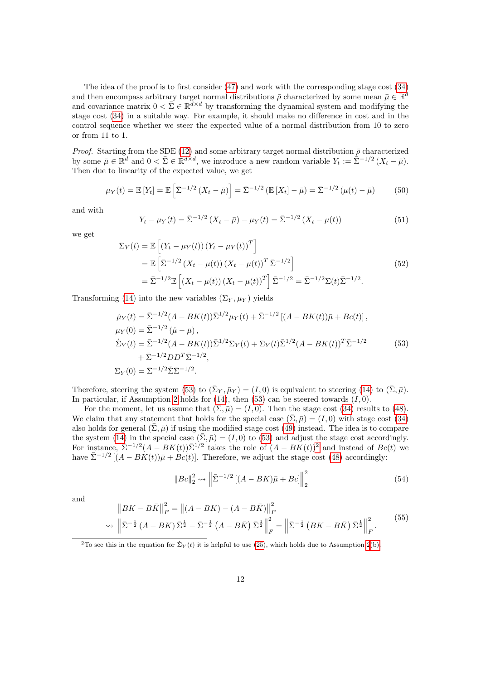The idea of the proof is to first consider [\(47\)](#page-10-0) and work with the corresponding stage cost [\(34\)](#page-8-1) and then encompass arbitrary target normal distributions  $\bar{\rho}$  characterized by some mean  $\bar{\mu} \in \mathbb{R}^d$ and covariance matrix  $0 < \bar{\Sigma} \in \mathbb{R}^{d \times d}$  by transforming the dynamical system and modifying the stage cost [\(34\)](#page-8-1) in a suitable way. For example, it should make no difference in cost and in the control sequence whether we steer the expected value of a normal distribution from 10 to zero or from 11 to 1.

*Proof.* Starting from the SDE [\(12\)](#page-3-0) and some arbitrary target normal distribution  $\bar{\rho}$  characterized by some  $\bar{\mu} \in \mathbb{R}^d$  and  $0 < \bar{\Sigma} \in \mathbb{R}^{d \times d}$ , we introduce a new random variable  $Y_t := \bar{\Sigma}^{-1/2} (X_t - \bar{\mu}).$ Then due to linearity of the expected value, we get

$$
\mu_Y(t) = \mathbb{E}\left[Y_t\right] = \mathbb{E}\left[\bar{\Sigma}^{-1/2}\left(X_t - \bar{\mu}\right)\right] = \bar{\Sigma}^{-1/2}\left(\mathbb{E}\left[X_t\right] - \bar{\mu}\right) = \bar{\Sigma}^{-1/2}\left(\mu(t) - \bar{\mu}\right) \tag{50}
$$

and with

$$
Y_t - \mu_Y(t) = \bar{\Sigma}^{-1/2} \left( X_t - \bar{\mu} \right) - \mu_Y(t) = \bar{\Sigma}^{-1/2} \left( X_t - \mu(t) \right) \tag{51}
$$

we get

$$
\Sigma_Y(t) = \mathbb{E}\left[ \left( Y_t - \mu_Y(t) \right) \left( Y_t - \mu_Y(t) \right)^T \right]
$$
  
\n
$$
= \mathbb{E}\left[ \bar{\Sigma}^{-1/2} \left( X_t - \mu(t) \right) \left( X_t - \mu(t) \right)^T \bar{\Sigma}^{-1/2} \right]
$$
  
\n
$$
= \bar{\Sigma}^{-1/2} \mathbb{E}\left[ \left( X_t - \mu(t) \right) \left( X_t - \mu(t) \right)^T \right] \bar{\Sigma}^{-1/2} = \bar{\Sigma}^{-1/2} \Sigma(t) \bar{\Sigma}^{-1/2}.
$$
\n(52)

Transforming [\(14\)](#page-3-4) into the new variables  $(\Sigma_Y, \mu_Y)$  yields

<span id="page-11-0"></span>
$$
\dot{\mu}_Y(t) = \bar{\Sigma}^{-1/2} (A - BK(t)) \bar{\Sigma}^{1/2} \mu_Y(t) + \bar{\Sigma}^{-1/2} \left[ (A - BK(t)) \bar{\mu} + Bc(t) \right],
$$
  
\n
$$
\mu_Y(0) = \bar{\Sigma}^{-1/2} (\dot{\mu} - \bar{\mu}),
$$
  
\n
$$
\dot{\Sigma}_Y(t) = \bar{\Sigma}^{-1/2} (A - BK(t)) \bar{\Sigma}^{1/2} \Sigma_Y(t) + \Sigma_Y(t) \bar{\Sigma}^{1/2} (A - BK(t))^T \bar{\Sigma}^{-1/2}
$$
  
\n
$$
+ \bar{\Sigma}^{-1/2} D D^T \bar{\Sigma}^{-1/2},
$$
  
\n
$$
\Sigma_Y(0) = \bar{\Sigma}^{-1/2} \Sigma \bar{\Sigma}^{-1/2}.
$$
\n(53)

Therefore, steering the system [\(53\)](#page-11-0) to  $(\bar{\Sigma}_Y, \bar{\mu}_Y) = (I, 0)$  is equivalent to steering [\(14\)](#page-3-4) to  $(\bar{\Sigma}, \bar{\mu})$ . In particular, if Assumption [2](#page-0-1) holds for  $(14)$ , then  $(53)$  can be steered towards  $(I, 0)$ .

For the moment, let us assume that  $(\bar{\Sigma}, \bar{\mu}) = (I, 0)$ . Then the stage cost [\(34\)](#page-8-1) results to [\(48\)](#page-10-1). We claim that any statement that holds for the special case  $(\bar{\Sigma}, \bar{\mu}) = (I, 0)$  with stage cost [\(34\)](#page-8-1) also holds for general  $(\bar{\Sigma}, \bar{\mu})$  if using the modified stage cost [\(49\)](#page-10-2) instead. The idea is to compare the system [\(14\)](#page-3-4) in the special case  $(\bar{\Sigma}, \bar{\mu}) = (I, 0)$  to [\(53\)](#page-11-0) and adjust the stage cost accordingly. For instance,  $\sum_{n=1}^{\infty} (-1)^n (A - BK(t)) \sum_{n=1}^{\infty} (A - BK(t))^2$  $\sum_{n=1}^{\infty} (-1)^n (A - BK(t)) \sum_{n=1}^{\infty} (A - BK(t))^2$  and instead of  $Bc(t)$  we have  $\bar{\Sigma}^{-1/2}$   $[(A - BK(t))\bar{\mu} + Bc(t)]$ . Therefore, we adjust the stage cost [\(48\)](#page-10-1) accordingly:

$$
||Bc||_2^2 \sim ||\bar{\Sigma}^{-1/2}[(A - BK)\bar{\mu} + Bc]||_2^2
$$
\n(54)

and

$$
||BK - B\bar{K}||_F^2 = ||(A - BK) - (A - B\bar{K})||_F^2
$$
  

$$
\sim ||\bar{\Sigma}^{-\frac{1}{2}}(A - BK)\bar{\Sigma}^{\frac{1}{2}} - \bar{\Sigma}^{-\frac{1}{2}}(A - B\bar{K})\bar{\Sigma}^{\frac{1}{2}}||_F^2 = ||\bar{\Sigma}^{-\frac{1}{2}}(BK - B\bar{K})\bar{\Sigma}^{\frac{1}{2}}||_F^2.
$$
<sup>(55)</sup>

<span id="page-11-1"></span><sup>&</sup>lt;sup>2</sup>To see this in the equation for  $\dot{\Sigma}_Y(t)$  it is helpful to use [\(25\)](#page-5-5), which holds due to Assumption [2](#page-0-1)[\(b\).](#page-5-2)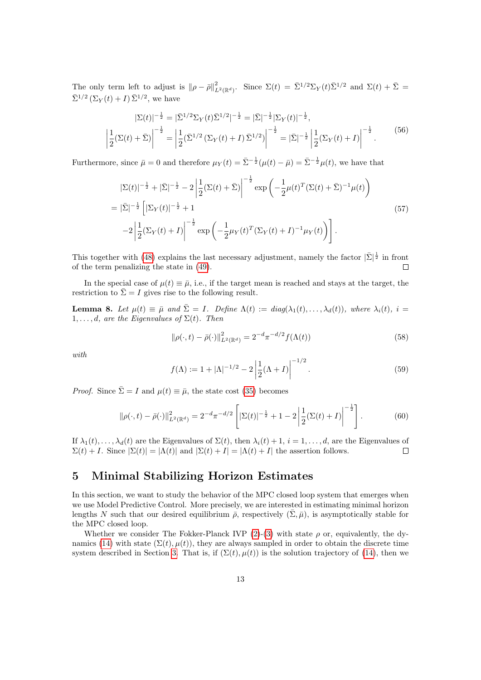The only term left to adjust is  $\|\rho - \bar{\rho}\|_{L^2(\mathbb{R}^d)}^2$ . Since  $\Sigma(t) = \bar{\Sigma}^{1/2} \Sigma_Y(t) \bar{\Sigma}^{1/2}$  and  $\Sigma(t) + \bar{\Sigma}$  $\bar{\Sigma}^{1/2} \left( \Sigma_Y(t) + I \right) \bar{\Sigma}^{1/2}$ , we have

$$
|\Sigma(t)|^{-\frac{1}{2}} = |\bar{\Sigma}^{1/2} \Sigma_Y(t) \bar{\Sigma}^{1/2}|^{-\frac{1}{2}} = |\bar{\Sigma}|^{-\frac{1}{2}} |\Sigma_Y(t)|^{-\frac{1}{2}},
$$
  

$$
\left| \frac{1}{2} (\Sigma(t) + \bar{\Sigma}) \right|^{-\frac{1}{2}} = \left| \frac{1}{2} (\bar{\Sigma}^{1/2} (\Sigma_Y(t) + I) \bar{\Sigma}^{1/2}) \right|^{-\frac{1}{2}} = |\bar{\Sigma}|^{-\frac{1}{2}} \left| \frac{1}{2} (\Sigma_Y(t) + I) \right|^{-\frac{1}{2}}.
$$
 (56)

Furthermore, since  $\bar{\mu} = 0$  and therefore  $\mu_Y(t) = \bar{\Sigma}^{-\frac{1}{2}}(\mu(t) - \bar{\mu}) = \bar{\Sigma}^{-\frac{1}{2}}\mu(t)$ , we have that

$$
|\Sigma(t)|^{-\frac{1}{2}} + |\bar{\Sigma}|^{-\frac{1}{2}} - 2\left|\frac{1}{2}(\Sigma(t) + \bar{\Sigma})\right|^{-\frac{1}{2}} \exp\left(-\frac{1}{2}\mu(t)^T(\Sigma(t) + \bar{\Sigma})^{-1}\mu(t)\right)
$$
  
\n
$$
= |\bar{\Sigma}|^{-\frac{1}{2}} \left[|\Sigma_Y(t)|^{-\frac{1}{2}} + 1\right] \n-2\left|\frac{1}{2}(\Sigma_Y(t) + I)\right|^{-\frac{1}{2}} \exp\left(-\frac{1}{2}\mu_Y(t)^T(\Sigma_Y(t) + I)^{-1}\mu_Y(t)\right).
$$
\n(57)

This together with [\(48\)](#page-10-1) explains the last necessary adjustment, namely the factor  $|\bar{\Sigma}|^{\frac{1}{2}}$  in front of the term penalizing the state in [\(49\)](#page-10-2). П

In the special case of  $\mu(t) \equiv \bar{\mu}$ , i.e., if the target mean is reached and stays at the target, the restriction to  $\bar{\Sigma} = I$  gives rise to the following result.

<span id="page-12-1"></span>**Lemma 8.** Let  $\mu(t) \equiv \bar{\mu}$  and  $\bar{\Sigma} = I$ . Define  $\Lambda(t) := diag(\lambda_1(t), \ldots, \lambda_d(t))$ , where  $\lambda_i(t)$ ,  $i =$  $1, \ldots, d$ , are the Eigenvalues of  $\Sigma(t)$ . Then

$$
\|\rho(\cdot,t) - \bar{\rho}(\cdot)\|_{L^2(\mathbb{R}^d)}^2 = 2^{-d}\pi^{-d/2}f(\Lambda(t))\tag{58}
$$

with

<span id="page-12-2"></span>
$$
f(\Lambda) := 1 + |\Lambda|^{-1/2} - 2\left|\frac{1}{2}(\Lambda + I)\right|^{-1/2}.
$$
 (59)

*Proof.* Since  $\bar{\Sigma} = I$  and  $\mu(t) \equiv \bar{\mu}$ , the state cost [\(35\)](#page-8-5) becomes

$$
\|\rho(\cdot,t) - \bar{\rho}(\cdot)\|_{L^2(\mathbb{R}^d)}^2 = 2^{-d}\pi^{-d/2} \left[ |\Sigma(t)|^{-\frac{1}{2}} + 1 - 2\left| \frac{1}{2} (\Sigma(t) + I) \right|^{-\frac{1}{2}} \right].
$$
 (60)

If  $\lambda_1(t), \ldots, \lambda_d(t)$  are the Eigenvalues of  $\Sigma(t)$ , then  $\lambda_i(t) + 1$ ,  $i = 1, \ldots, d$ , are the Eigenvalues of  $\Sigma(t) + I$ . Since  $|\Sigma(t)| = |\Lambda(t)|$  and  $|\Sigma(t) + I| = |\Lambda(t) + I|$  the assertion follows.  $\Box$ 

# <span id="page-12-0"></span>5 Minimal Stabilizing Horizon Estimates

In this section, we want to study the behavior of the MPC closed loop system that emerges when we use Model Predictive Control. More precisely, we are interested in estimating minimal horizon lengths N such that our desired equilibrium  $\bar{\rho}$ , respectively  $(\bar{\Sigma}, \bar{\mu})$ , is asymptotically stable for the MPC closed loop.

Whether we consider The Fokker-Planck IVP  $(2)-(3)$  $(2)-(3)$  $(2)-(3)$  with state  $\rho$  or, equivalently, the dy-namics [\(14\)](#page-3-4) with state  $(\Sigma(t), \mu(t))$ , they are always sampled in order to obtain the discrete time system described in Section [3.](#page-6-0) That is, if  $(\Sigma(t), \mu(t))$  is the solution trajectory of [\(14\)](#page-3-4), then we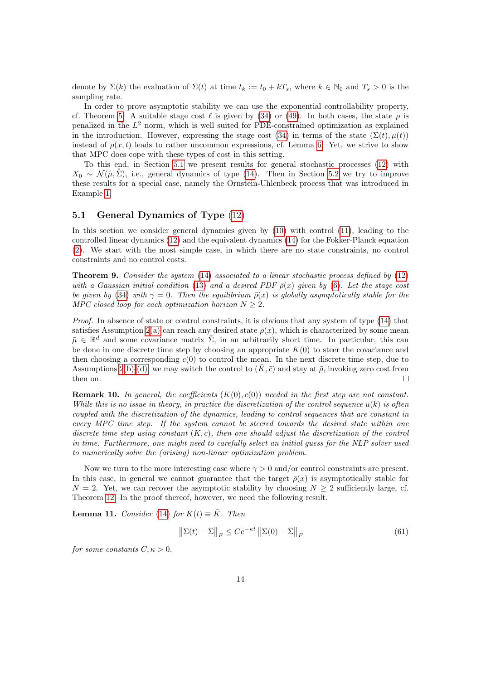denote by  $\Sigma(k)$  the evaluation of  $\Sigma(t)$  at time  $t_k := t_0 + kT_s$ , where  $k \in \mathbb{N}_0$  and  $T_s > 0$  is the sampling rate.

In order to prove asymptotic stability we can use the exponential controllability property, cf. Theorem [5.](#page-7-3) A suitable stage cost  $\ell$  is given by [\(34\)](#page-8-1) or [\(49\)](#page-10-2). In both cases, the state  $\rho$  is penalized in the  $L^2$  norm, which is well suited for PDE-constrained optimization as explained in the introduction. However, expressing the stage cost [\(34\)](#page-8-1) in terms of the state  $(\Sigma(t), \mu(t))$ instead of  $\rho(x, t)$  leads to rather uncommon expressions, cf. Lemma [6.](#page-8-4) Yet, we strive to show that MPC does cope with these types of cost in this setting.

To this end, in Section [5.1](#page-13-0) we present results for general stochastic processes [\(12\)](#page-3-0) with  $X_0 \sim \mathcal{N}(\mathring{\mu}, \Sigma)$ , i.e., general dynamics of type [\(14\)](#page-3-4). Then in Section [5.2](#page-17-0) we try to improve these results for a special case, namely the Ornstein-Uhlenbeck process that was introduced in Example [1.](#page-0-1)

#### <span id="page-13-0"></span>5.1 General Dynamics of Type [\(12\)](#page-3-0)

In this section we consider general dynamics given by [\(10\)](#page-3-3) with control [\(11\)](#page-3-2), leading to the controlled linear dynamics [\(12\)](#page-3-0) and the equivalent dynamics [\(14\)](#page-3-4) for the Fokker-Planck equation [\(2\)](#page-2-0). We start with the most simple case, in which there are no state constraints, no control constraints and no control costs.

<span id="page-13-3"></span>**Theorem 9.** Consider the system  $(14)$  associated to a linear stochastic process defined by  $(12)$ with a Gaussian initial condition [\(13\)](#page-3-1) and a desired PDF  $\bar{\rho}(x)$  given by [\(6\)](#page-2-4). Let the stage cost be given by [\(34\)](#page-8-1) with  $\gamma = 0$ . Then the equilibrium  $\bar{\rho}(x)$  is globally asymptotically stable for the MPC closed loop for each optimization horizon  $N \geq 2$ .

Proof. In absence of state or control constraints, it is obvious that any system of type  $(14)$  that satisfies Assumption [2](#page-0-1)[\(a\)](#page-5-6) can reach any desired state  $\bar{\rho}(x)$ , which is characterized by some mean  $\bar{\mu} \in \mathbb{R}^d$  and some covariance matrix  $\bar{\Sigma}$ , in an arbitrarily short time. In particular, this can be done in one discrete time step by choosing an appropriate  $K(0)$  to steer the covariance and then choosing a corresponding  $c(0)$  to control the mean. In the next discrete time step, due to Assumptions [2](#page-0-1)[\(b\)](#page-5-2)[-\(d\),](#page-5-3) we may switch the control to  $(K,\bar{c})$  and stay at  $\bar{\rho}$ , invoking zero cost from then on.  $\Box$ 

**Remark 10.** In general, the coefficients  $(K(0), c(0))$  needed in the first step are not constant. While this is no issue in theory, in practice the discretization of the control sequence  $u(k)$  is often coupled with the discretization of the dynamics, leading to control sequences that are constant in every MPC time step. If the system cannot be steered towards the desired state within one discrete time step using constant  $(K, c)$ , then one should adjust the discretization of the control in time. Furthermore, one might need to carefully select an initial guess for the NLP solver used to numerically solve the (arising) non-linear optimization problem.

Now we turn to the more interesting case where  $\gamma > 0$  and/or control constraints are present. In this case, in general we cannot guarantee that the target  $\bar{\rho}(x)$  is asymptotically stable for  $N = 2$ . Yet, we can recover the asymptotic stability by choosing  $N \geq 2$  sufficiently large, cf. Theorem [12.](#page-14-0) In the proof thereof, however, we need the following result.

<span id="page-13-2"></span>**Lemma 11.** Consider [\(14\)](#page-3-4) for  $K(t) \equiv \overline{K}$ . Then

<span id="page-13-1"></span>
$$
\left\| \Sigma(t) - \bar{\Sigma} \right\|_F \le C e^{-\kappa t} \left\| \Sigma(0) - \bar{\Sigma} \right\|_F \tag{61}
$$

for some constants  $C, \kappa > 0$ .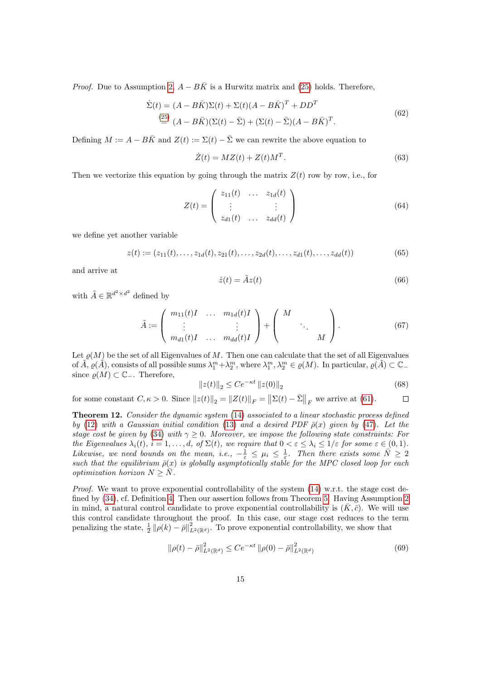*Proof.* Due to Assumption [2,](#page-0-1)  $A - B\overline{K}$  is a Hurwitz matrix and [\(25\)](#page-5-5) holds. Therefore,

$$
\dot{\Sigma}(t) = (A - B\bar{K})\Sigma(t) + \Sigma(t)(A - B\bar{K})^T + DD^T
$$
\n(62)  
\n
$$
\stackrel{(25)}{=} (A - B\bar{K})(\Sigma(t) - \bar{\Sigma}) + (\Sigma(t) - \bar{\Sigma})(A - B\bar{K})^T.
$$

Defining  $M := A - B\overline{K}$  and  $Z(t) := \Sigma(t) - \overline{\Sigma}$  we can rewrite the above equation to

$$
\dot{Z}(t) = MZ(t) + Z(t)M^T.
$$
\n(63)

Then we vectorize this equation by going through the matrix  $Z(t)$  row by row, i.e., for

$$
Z(t) = \begin{pmatrix} z_{11}(t) & \dots & z_{1d}(t) \\ \vdots & & \vdots \\ z_{d1}(t) & \dots & z_{dd}(t) \end{pmatrix}
$$
 (64)

we define yet another variable

$$
z(t) := (z_{11}(t), \dots, z_{1d}(t), z_{21}(t), \dots, z_{2d}(t), \dots, z_{d1}(t), \dots, z_{dd}(t))
$$
\n(65)

and arrive at

$$
\dot{z}(t) = \tilde{A}z(t) \tag{66}
$$

with  $\tilde{A} \in \mathbb{R}^{d^2 \times d^2}$  defined by

$$
\tilde{A} := \left( \begin{array}{ccc} m_{11}(t)I & \dots & m_{1d}(t)I \\ \vdots & & \vdots \\ m_{d1}(t)I & \dots & m_{dd}(t)I \end{array} \right) + \left( \begin{array}{ccc} M & & \\ & \ddots & \\ & & M \end{array} \right). \tag{67}
$$

Let  $\varrho(M)$  be the set of all Eigenvalues of M. Then one can calculate that the set of all Eigenvalues of  $\tilde{A}, \rho(\tilde{A}),$  consists of all possible sums  $\lambda_1^m + \lambda_2^m$ , where  $\lambda_1^m, \lambda_2^m \in \rho(M)$ . In particular,  $\rho(\tilde{A}) \subset \mathbb{C}_+$ since  $\varrho(M)$  ⊂  $\mathbb{C}_-$ . Therefore,

$$
||z(t)||_2 \le Ce^{-\kappa t} ||z(0)||_2
$$
\n(68)

for some constant  $C, \kappa > 0$ . Since  $||z(t)||_2 = ||Z(t)||_F = ||\Sigma(t) - \overline{\Sigma}||_F$  we arrive at [\(61\)](#page-13-1).  $\Box$ 

<span id="page-14-0"></span>Theorem 12. Consider the dynamic system [\(14\)](#page-3-4) associated to a linear stochastic process defined by [\(12\)](#page-3-0) with a Gaussian initial condition [\(13\)](#page-3-1) and a desired PDF  $\bar{\rho}(x)$  given by [\(47\)](#page-10-0). Let the stage cost be given by [\(34\)](#page-8-1) with  $\gamma \geq 0$ . Moreover, we impose the following state constraints: For the Eigenvalues  $\lambda_i(t)$ ,  $i = 1, \ldots, d$ , of  $\Sigma(t)$ , we require that  $0 < \varepsilon \leq \lambda_i \leq 1/\varepsilon$  for some  $\varepsilon \in (0, 1)$ . Likewise, we need bounds on the mean, i.e.,  $-\frac{1}{\varepsilon} \leq \mu_i \leq \frac{1}{\varepsilon}$ . Then there exists some  $\overline{N} \geq 2$ such that the equilibrium  $\bar{\rho}(x)$  is globally asymptotically stable for the MPC closed loop for each optimization horizon  $N \geq \overline{N}$ .

*Proof.* We want to prove exponential controllability of the system  $(14)$  w.r.t. the stage cost defined by [\(34\)](#page-8-1), cf. Definition [4.](#page-7-2) Then our assertion follows from Theorem [5.](#page-7-3) Having Assumption [2](#page-0-1) in mind, a natural control candidate to prove exponential controllability is  $(\bar{K}, \bar{c})$ . We will use this control candidate throughout the proof. In this case, our stage cost reduces to the term penalizing the state,  $\frac{1}{2} ||\rho(k) - \bar{\rho}||^2_{L^2(\mathbb{R}^d)}$ . To prove exponential controllability, we show that

<span id="page-14-1"></span>
$$
\|\rho(t) - \bar{\rho}\|_{L^2(\mathbb{R}^d)}^2 \le C e^{-\kappa t} \|\rho(0) - \bar{\rho}\|_{L^2(\mathbb{R}^d)}^2 \tag{69}
$$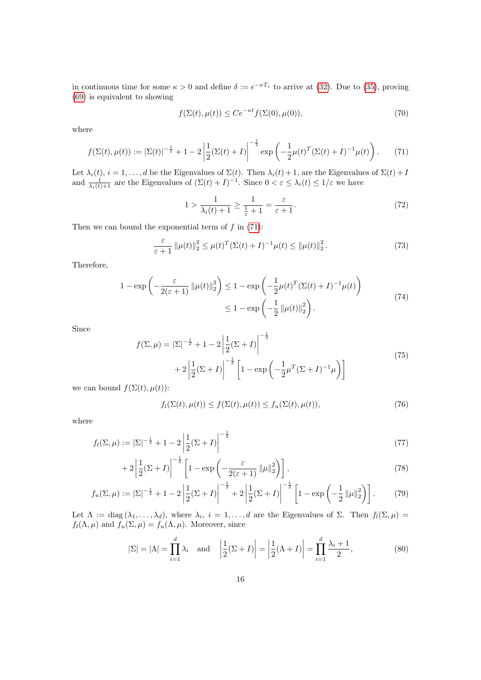in continuous time for some  $\kappa > 0$  and define  $\delta := e^{-\kappa T_s}$  to arrive at [\(32\)](#page-7-0). Due to [\(35\)](#page-8-5), proving [\(69\)](#page-14-1) is equivalent to showing

$$
f(\Sigma(t), \mu(t)) \le Ce^{-\kappa t} f(\Sigma(0), \mu(0)),\tag{70}
$$

where

<span id="page-15-0"></span>
$$
f(\Sigma(t), \mu(t)) := |\Sigma(t)|^{-\frac{1}{2}} + 1 - 2\left|\frac{1}{2}(\Sigma(t) + I)\right|^{-\frac{1}{2}} \exp\left(-\frac{1}{2}\mu(t)^T(\Sigma(t) + I)^{-1}\mu(t)\right).
$$
 (71)

Let  $\lambda_i(t)$ ,  $i = 1, \ldots, d$  be the Eigenvalues of  $\Sigma(t)$ . Then  $\lambda_i(t) + 1$ , are the Eigenvalues of  $\Sigma(t) + I$ and  $\frac{1}{\lambda_i(t)+1}$  are the Eigenvalues of  $(\Sigma(t)+I)^{-1}$ . Since  $0 < \varepsilon \leq \lambda_i(t) \leq 1/\varepsilon$  we have

$$
1 > \frac{1}{\lambda_i(t) + 1} \ge \frac{1}{\frac{1}{\varepsilon} + 1} = \frac{\varepsilon}{\varepsilon + 1}.
$$
 (72)

Then we can bound the exponential term of  $f$  in  $(71)$ :

$$
\frac{\varepsilon}{\varepsilon+1} \|\mu(t)\|_2^2 \le \mu(t)^T (\Sigma(t)+I)^{-1} \mu(t) \le \|\mu(t)\|_2^2.
$$
 (73)

Therefore,

$$
1 - \exp\left(-\frac{\varepsilon}{2(\varepsilon+1)} \left\|\mu(t)\right\|_{2}^{2}\right) \leq 1 - \exp\left(-\frac{1}{2}\mu(t)^{T}(\Sigma(t)+I)^{-1}\mu(t)\right)
$$
  

$$
\leq 1 - \exp\left(-\frac{1}{2}\left\|\mu(t)\right\|_{2}^{2}\right).
$$
 (74)

Since

$$
f(\Sigma,\mu) = |\Sigma|^{-\frac{1}{2}} + 1 - 2\left|\frac{1}{2}(\Sigma+I)\right|^{-\frac{1}{2}} + 2\left|\frac{1}{2}(\Sigma+I)\right|^{-\frac{1}{2}} \left[1 - \exp\left(-\frac{1}{2}\mu^T(\Sigma+I)^{-1}\mu\right)\right]
$$
\n(75)

we can bound  $f(\Sigma(t), \mu(t))$ :

<span id="page-15-1"></span>
$$
f_l(\Sigma(t), \mu(t)) \le f(\Sigma(t), \mu(t)) \le f_u(\Sigma(t), \mu(t)),\tag{76}
$$

where

$$
f_l(\Sigma, \mu) := |\Sigma|^{-\frac{1}{2}} + 1 - 2\left|\frac{1}{2}(\Sigma + I)\right|^{-\frac{1}{2}}\tag{77}
$$

$$
+2\left|\frac{1}{2}(\Sigma+I)\right|^{-\frac{1}{2}}\left[1-\exp\left(-\frac{\varepsilon}{2(\varepsilon+1)}\left\|\mu\right\|_{2}^{2}\right)\right],\tag{78}
$$

$$
f_u(\Sigma, \mu) := |\Sigma|^{-\frac{1}{2}} + 1 - 2\left|\frac{1}{2}(\Sigma + I)\right|^{-\frac{1}{2}} + 2\left|\frac{1}{2}(\Sigma + I)\right|^{-\frac{1}{2}} \left[1 - \exp\left(-\frac{1}{2} \left\|\mu\right\|_{2}^{2}\right)\right].
$$
 (79)

Let  $\Lambda := \text{diag}(\lambda_1, \ldots, \lambda_d)$ , where  $\lambda_i$ ,  $i = 1, \ldots, d$  are the Eigenvalues of  $\Sigma$ . Then  $f_l(\Sigma, \mu) =$  $f_l(\Lambda, \mu)$  and  $f_u(\Sigma, \mu) = f_u(\Lambda, \mu)$ . Moreover, since

$$
|\Sigma| = |\Lambda| = \prod_{i=1}^{d} \lambda_i \quad \text{and} \quad \left|\frac{1}{2}(\Sigma + I)\right| = \left|\frac{1}{2}(\Lambda + I)\right| = \prod_{i=1}^{d} \frac{\lambda_i + 1}{2},\tag{80}
$$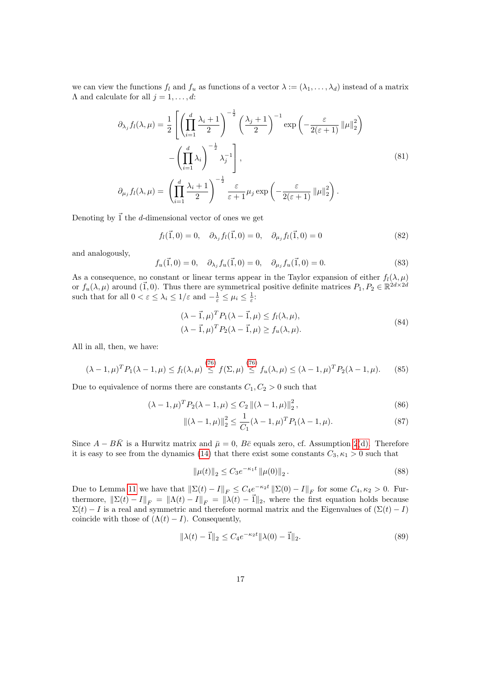we can view the functions  $f_l$  and  $f_u$  as functions of a vector  $\lambda := (\lambda_1, \ldots, \lambda_d)$  instead of a matrix  $\Lambda$  and calculate for all  $j = 1, \ldots, d$ :

$$
\partial_{\lambda_j} f_l(\lambda, \mu) = \frac{1}{2} \left[ \left( \prod_{i=1}^d \frac{\lambda_i + 1}{2} \right)^{-\frac{1}{2}} \left( \frac{\lambda_j + 1}{2} \right)^{-1} \exp \left( -\frac{\varepsilon}{2(\varepsilon + 1)} \left\| \mu \right\|_2^2 \right) - \left( \prod_{i=1}^d \lambda_i \right)^{-\frac{1}{2}} \lambda_j^{-1} \right],
$$
\n
$$
\partial_{\mu_j} f_l(\lambda, \mu) = \left( \prod_{i=1}^d \frac{\lambda_i + 1}{2} \right)^{-\frac{1}{2}} \frac{\varepsilon}{\varepsilon + 1} \mu_j \exp \left( -\frac{\varepsilon}{2(\varepsilon + 1)} \left\| \mu \right\|_2^2 \right).
$$
\n(81)

Denoting by  $\vec{1}$  the d-dimensional vector of ones we get

 $f_l(\vec{1}, 0) = 0, \quad \partial_{\lambda_j} f_l(\vec{1}, 0) = 0, \quad \partial_{\mu_j} f_l(\vec{1}, 0) = 0$  (82)

and analogously,

$$
f_u(\vec{1},0) = 0, \quad \partial_{\lambda_j} f_u(\vec{1},0) = 0, \quad \partial_{\mu_j} f_u(\vec{1},0) = 0.
$$
 (83)

As a consequence, no constant or linear terms appear in the Taylor expansion of either  $f_l(\lambda, \mu)$ or  $f_u(\lambda, \mu)$  around (1,0). Thus there are symmetrical positive definite matrices  $P_1, P_2 \in \mathbb{R}^{2d \times 2d}$ such that for all  $0 < \varepsilon \leq \lambda_i \leq 1/\varepsilon$  and  $-\frac{1}{\varepsilon} \leq \mu_i \leq \frac{1}{\varepsilon}$ :

$$
(\lambda - \vec{1}, \mu)^T P_1(\lambda - \vec{1}, \mu) \le f_l(\lambda, \mu),
$$
  

$$
(\lambda - \vec{1}, \mu)^T P_2(\lambda - \vec{1}, \mu) \ge f_u(\lambda, \mu).
$$
 (84)

All in all, then, we have:

<span id="page-16-0"></span>
$$
(\lambda - 1, \mu)^T P_1(\lambda - 1, \mu) \le f_l(\lambda, \mu) \stackrel{(76)}{\le} f(\Sigma, \mu) \stackrel{(76)}{\le} f_u(\lambda, \mu) \le (\lambda - 1, \mu)^T P_2(\lambda - 1, \mu).
$$
 (85)

Due to equivalence of norms there are constants  $C_1, C_2 > 0$  such that

$$
(\lambda - 1, \mu)^{T} P_2(\lambda - 1, \mu) \le C_2 \| (\lambda - 1, \mu) \|_2^2,
$$
\n(86)

$$
\|(\lambda - 1, \mu)\|_2^2 \le \frac{1}{C_1} (\lambda - 1, \mu)^T P_1 (\lambda - 1, \mu).
$$
 (87)

Since  $A - B\overline{K}$  is a Hurwitz matrix and  $\overline{\mu} = 0$ ,  $B\overline{c}$  equals zero, cf. Assumption [2](#page-0-1)[\(d\).](#page-5-3) Therefore it is easy to see from the dynamics [\(14\)](#page-3-4) that there exist some constants  $C_3, \kappa_1 > 0$  such that

<span id="page-16-4"></span><span id="page-16-2"></span><span id="page-16-1"></span>
$$
\|\mu(t)\|_2 \le C_3 e^{-\kappa_1 t} \|\mu(0)\|_2.
$$
\n(88)

Due to Lemma [11](#page-13-2) we have that  $\|\Sigma(t) - I\|_F \leq C_4 e^{-\kappa_2 t} \|\Sigma(0) - I\|_F$  for some  $C_4, \kappa_2 > 0$ . Furthermore,  $\|\Sigma(t) - I\|_F = \|\Lambda(t) - I\|_F = \|\lambda(t) - \vec{1}\|_2$ , where the first equation holds because  $\Sigma(t) - I$  is a real and symmetric and therefore normal matrix and the Eigenvalues of  $(\Sigma(t) - I)$ coincide with those of  $(Λ(t) – I)$ . Consequently,

<span id="page-16-3"></span>
$$
\|\lambda(t) - \vec{1}\|_2 \le C_4 e^{-\kappa_2 t} \|\lambda(0) - \vec{1}\|_2.
$$
 (89)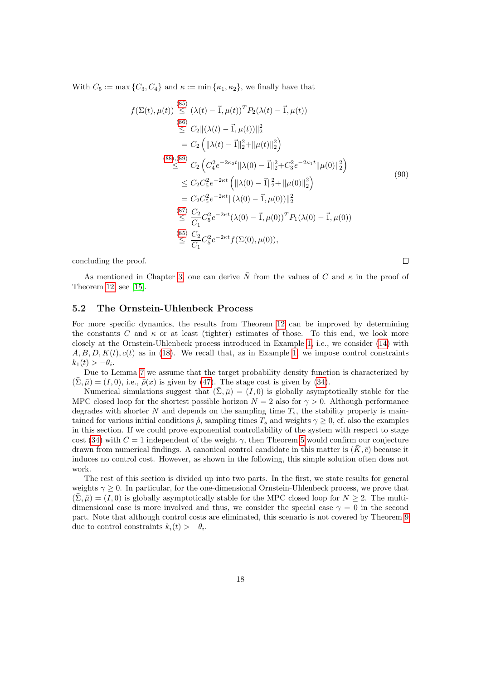With  $C_5 := \max\{C_3, C_4\}$  and  $\kappa := \min\{\kappa_1, \kappa_2\}$ , we finally have that

$$
f(\Sigma(t), \mu(t)) \stackrel{\text{(85)}}{\leq} (\lambda(t) - \vec{1}, \mu(t))^T P_2(\lambda(t) - \vec{1}, \mu(t))
$$
\n
$$
\stackrel{\text{(86)}}{\leq} C_2 \| (\lambda(t) - \vec{1}, \mu(t)) \|_2^2
$$
\n
$$
= C_2 \left( \| \lambda(t) - \vec{1} \|_2^2 + \| \mu(t) \|_2^2 \right)
$$
\n
$$
\stackrel{\text{(88)}, \text{(89)}}{\leq} C_2 \left( C_4^2 e^{-2\kappa_2 t} \| \lambda(0) - \vec{1} \|_2^2 + C_3^2 e^{-2\kappa_1 t} \| \mu(0) \|_2^2 \right)
$$
\n
$$
\leq C_2 C_5^2 e^{-2\kappa t} \left( \| \lambda(0) - \vec{1} \|_2^2 + \| \mu(0) \|_2^2 \right)
$$
\n
$$
= C_2 C_5^2 e^{-2\kappa t} \| (\lambda(0) - \vec{1}, \mu(0)) \|_2^2
$$
\n
$$
\stackrel{\text{(87)}}{\leq} \frac{C_2}{C_1} C_5^2 e^{-2\kappa t} (\lambda(0) - \vec{1}, \mu(0))^T P_1(\lambda(0) - \vec{1}, \mu(0))
$$
\n
$$
\stackrel{\text{(85)}}{\leq} \frac{C_2}{C_1} C_5^2 e^{-2\kappa t} f(\Sigma(0), \mu(0)),
$$

concluding the proof.

 $\Box$ 

As mentioned in Chapter [3,](#page-6-0) one can derive  $\overline{N}$  from the values of C and  $\kappa$  in the proof of Theorem [12,](#page-14-0) see [\[15\]](#page-30-1).

#### <span id="page-17-0"></span>5.2 The Ornstein-Uhlenbeck Process

For more specific dynamics, the results from Theorem [12](#page-14-0) can be improved by determining the constants C and  $\kappa$  or at least (tighter) estimates of those. To this end, we look more closely at the Ornstein-Uhlenbeck process introduced in Example [1,](#page-0-1) i.e., we consider [\(14\)](#page-3-4) with  $A, B, D, K(t), c(t)$  as in [\(18\)](#page-4-0). We recall that, as in Example [1,](#page-0-1) we impose control constraints  $k_1(t) > -\theta_i.$ 

Due to Lemma [7](#page-10-3) we assume that the target probability density function is characterized by  $(\bar{\Sigma}, \bar{\mu}) = (I, 0),$  i.e.,  $\bar{\rho}(x)$  is given by [\(47\)](#page-10-0). The stage cost is given by [\(34\)](#page-8-1).

Numerical simulations suggest that  $(\bar{\Sigma}, \bar{\mu}) = (I, 0)$  is globally asymptotically stable for the MPC closed loop for the shortest possible horizon  $N = 2$  also for  $\gamma > 0$ . Although performance degrades with shorter N and depends on the sampling time  $T_s$ , the stability property is maintained for various initial conditions  $\hat{\rho}$ , sampling times  $T_s$  and weights  $\gamma \geq 0$ , cf. also the examples in this section. If we could prove exponential controllability of the system with respect to stage cost [\(34\)](#page-8-1) with  $C = 1$  independent of the weight  $\gamma$ , then Theorem [5](#page-7-3) would confirm our conjecture drawn from numerical findings. A canonical control candidate in this matter is  $(K, \bar{c})$  because it induces no control cost. However, as shown in the following, this simple solution often does not work.

The rest of this section is divided up into two parts. In the first, we state results for general weights  $\gamma \geq 0$ . In particular, for the one-dimensional Ornstein-Uhlenbeck process, we prove that  $(\bar{\Sigma}, \bar{\mu}) = (I, 0)$  is globally asymptotically stable for the MPC closed loop for  $N \geq 2$ . The multidimensional case is more involved and thus, we consider the special case  $\gamma = 0$  in the second part. Note that although control costs are eliminated, this scenario is not covered by Theorem [9](#page-13-3) due to control constraints  $k_i(t) > -\theta_i$ .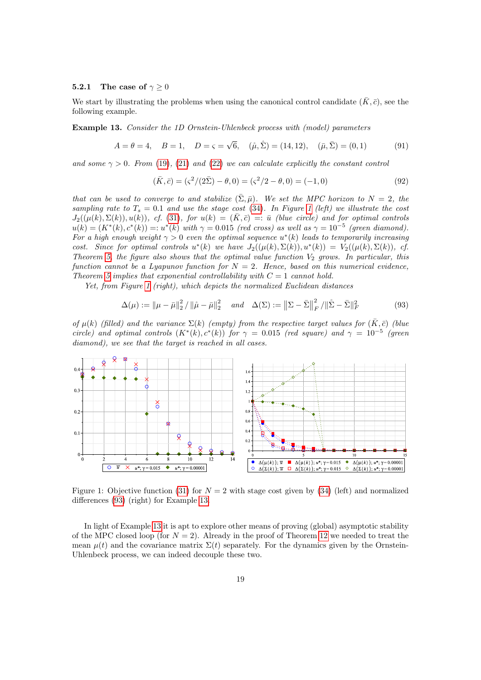#### <span id="page-18-0"></span>5.2.1 The case of  $\gamma \geq 0$

We start by illustrating the problems when using the canonical control candidate  $(\bar{K}, \bar{c})$ , see the following example.

<span id="page-18-3"></span>Example 13. Consider the 1D Ornstein-Uhlenbeck process with (model) parameters

$$
A = \theta = 4
$$
,  $B = 1$ ,  $D = \varsigma = \sqrt{6}$ ,  $(\mathring{\mu}, \mathring{\Sigma}) = (14, 12)$ ,  $(\bar{\mu}, \bar{\Sigma}) = (0, 1)$  (91)

and some  $\gamma > 0$ . From [\(19\)](#page-4-1), [\(21\)](#page-4-2) and [\(22\)](#page-4-3) we can calculate explicitly the constant control

$$
(\bar{K}, \bar{c}) = (s^2/(2\bar{\Sigma}) - \theta, 0) = (s^2/2 - \theta, 0) = (-1, 0)
$$
\n(92)

that can be used to converge to and stabilize  $(\bar{\Sigma}, \bar{\mu})$ . We set the MPC horizon to  $N = 2$ , the sampling rate to  $T_s = 0.1$  and use the stage cost [\(34\)](#page-8-1). In Figure [1](#page-18-1) (left) we illustrate the cost  $J_2((\mu(k),\Sigma(k)), u(k)),$  cf. [\(31\)](#page-6-1), for  $u(k) = (\bar{K},\bar{c}) =: \bar{u}$  (blue circle) and for optimal controls  $u(k) = (K^*(k), c^*(k)) =: u^*(k)$  with  $\gamma = 0.015$  (red cross) as well as  $\gamma = 10^{-5}$  (green diamond). For a high enough weight  $\gamma > 0$  even the optimal sequence  $u^*(k)$  leads to temporarily increasing cost. Since for optimal controls  $u^*(k)$  we have  $J_2((\mu(k), \Sigma(k)), u^*(k)) = V_2((\mu(k), \Sigma(k)), c f.$ Theorem [5,](#page-7-3) the figure also shows that the optimal value function  $V_2$  grows. In particular, this function cannot be a Lyapunov function for  $N = 2$ . Hence, based on this numerical evidence, Theorem [5](#page-7-3) implies that exponential controllability with  $C = 1$  cannot hold.

Yet, from Figure [1](#page-18-1) (right), which depicts the normalized Euclidean distances

<span id="page-18-2"></span>
$$
\Delta(\mu) := \|\mu - \bar{\mu}\|_2^2 / \|\hat{\mu} - \bar{\mu}\|_2^2 \quad \text{and} \quad \Delta(\Sigma) := \|\Sigma - \bar{\Sigma}\|_F^2 / \|\hat{\Sigma} - \bar{\Sigma}\|_F^2 \tag{93}
$$

of  $\mu(k)$  (filled) and the variance  $\Sigma(k)$  (empty) from the respective target values for  $(K,\bar{c})$  (blue circle) and optimal controls  $(K^*(k), c^*(k))$  for  $\gamma = 0.015$  (red square) and  $\gamma = 10^{-5}$  (green diamond), we see that the target is reached in all cases.



<span id="page-18-1"></span>Figure 1: Objective function [\(31\)](#page-6-1) for  $N = 2$  with stage cost given by [\(34\)](#page-8-1) (left) and normalized differences [\(93\)](#page-18-2) (right) for Example [13.](#page-18-3)

In light of Example [13](#page-18-3) it is apt to explore other means of proving (global) asymptotic stability of the MPC closed loop (for  $N = 2$ ). Already in the proof of Theorem [12](#page-14-0) we needed to treat the mean  $\mu(t)$  and the covariance matrix  $\Sigma(t)$  separately. For the dynamics given by the Ornstein-Uhlenbeck process, we can indeed decouple these two.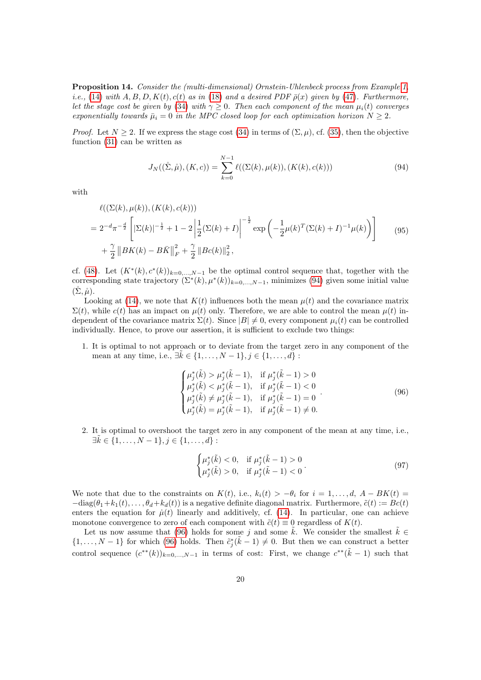<span id="page-19-4"></span>Proposition 14. Consider the (multi-dimensional) Ornstein-Uhlenbeck process from Example [1,](#page-0-1) i.e., [\(14\)](#page-3-4) with  $A, B, D, K(t), c(t)$  as in [\(18\)](#page-4-0) and a desired PDF  $\bar{\rho}(x)$  given by [\(47\)](#page-10-0). Furthermore, let the stage cost be given by [\(34\)](#page-8-1) with  $\gamma \geq 0$ . Then each component of the mean  $\mu_i(t)$  converges exponentially towards  $\bar{\mu}_i = 0$  in the MPC closed loop for each optimization horizon  $N \geq 2$ .

*Proof.* Let  $N > 2$ . If we express the stage cost [\(34\)](#page-8-1) in terms of  $(\Sigma, \mu)$ , cf. [\(35\)](#page-8-5), then the objective function [\(31\)](#page-6-1) can be written as

<span id="page-19-0"></span>
$$
J_N((\hat{\Sigma}, \hat{\mu}), (K, c)) = \sum_{k=0}^{N-1} \ell((\Sigma(k), \mu(k)), (K(k), c(k)))
$$
\n(94)

with

<span id="page-19-2"></span>
$$
\ell((\Sigma(k), \mu(k)), (K(k), c(k)))
$$
\n
$$
= 2^{-d} \pi^{-\frac{d}{2}} \left[ |\Sigma(k)|^{-\frac{1}{2}} + 1 - 2 \left| \frac{1}{2} (\Sigma(k) + I) \right|^{-\frac{1}{2}} \exp \left( -\frac{1}{2} \mu(k)^T (\Sigma(k) + I)^{-1} \mu(k) \right) \right]
$$
\n
$$
+ \frac{\gamma}{2} ||BK(k) - B\bar{K}||_F^2 + \frac{\gamma}{2} ||Bc(k)||_2^2,
$$
\n(95)

cf. [\(48\)](#page-10-1). Let  $(K^*(k), c^*(k))_{k=0,\ldots,N-1}$  be the optimal control sequence that, together with the corresponding state trajectory  $(\Sigma^*(k), \mu^*(k))_{k=0,\dots,N-1}$ , minimizes [\(94\)](#page-19-0) given some initial value  $(\Sigma, \mathring{\mu}).$ 

Looking at [\(14\)](#page-3-4), we note that  $K(t)$  influences both the mean  $\mu(t)$  and the covariance matrix  $\Sigma(t)$ , while  $c(t)$  has an impact on  $\mu(t)$  only. Therefore, we are able to control the mean  $\mu(t)$  independent of the covariance matrix  $\Sigma(t)$ . Since  $|B| \neq 0$ , every component  $\mu_i(t)$  can be controlled individually. Hence, to prove our assertion, it is sufficient to exclude two things:

1. It is optimal to not approach or to deviate from the target zero in any component of the mean at any time, i.e.,  $\exists k \in \{1, ..., N-1\}, j \in \{1, ..., d\}$ :

<span id="page-19-1"></span>
$$
\begin{cases}\n\mu_j^*(\tilde{k}) > \mu_j^*(\tilde{k} - 1), & \text{if } \mu_j^*(\tilde{k} - 1) > 0 \\
\mu_j^*(\tilde{k}) < \mu_j^*(\tilde{k} - 1), & \text{if } \mu_j^*(\tilde{k} - 1) < 0 \\
\mu_j^*(\tilde{k}) > \mu_j^*(\tilde{k} - 1), & \text{if } \mu_j^*(\tilde{k} - 1) = 0 \\
\mu_j^*(\tilde{k}) > \mu_j^*(\tilde{k} - 1), & \text{if } \mu_j^*(\tilde{k} - 1) \neq 0.\n\end{cases} \tag{96}
$$

2. It is optimal to overshoot the target zero in any component of the mean at any time, i.e.,  $\exists \tilde{k} \in \{1, \ldots, N-1\}, j \in \{1, \ldots, d\}$ :

<span id="page-19-3"></span>
$$
\begin{cases} \mu_j^*(\tilde{k}) < 0, \quad \text{if } \mu_j^*(\tilde{k} - 1) > 0 \\ \mu_j^*(\tilde{k}) > 0, \quad \text{if } \mu_j^*(\tilde{k} - 1) < 0 \end{cases} \tag{97}
$$

We note that due to the constraints on  $K(t)$ , i.e.,  $k_i(t) > -\theta_i$  for  $i = 1, \ldots, d, A - BK(t) =$  $-\text{diag}(\theta_1+k_1(t),\ldots,\theta_d+k_d(t))$  is a negative definite diagonal matrix. Furthermore,  $\tilde{c}(t) := Bc(t)$ enters the equation for  $\dot{\mu}(t)$  linearly and additively, cf. [\(14\)](#page-3-4). In particular, one can achieve monotone convergence to zero of each component with  $\tilde{c}(t) \equiv 0$  regardless of  $K(t)$ .

Let us now assume that [\(96\)](#page-19-1) holds for some j and some k. We consider the smallest  $k \in \mathbb{R}$  $\{1,\ldots,N-1\}$  for which [\(96\)](#page-19-1) holds. Then  $\tilde{c}_j^*(\tilde{k}-1) \neq 0$ . But then we can construct a better control sequence  $(c^{**}(k))_{k=0,\ldots,N-1}$  in terms of cost: First, we change  $c^{**}(\tilde{k}-1)$  such that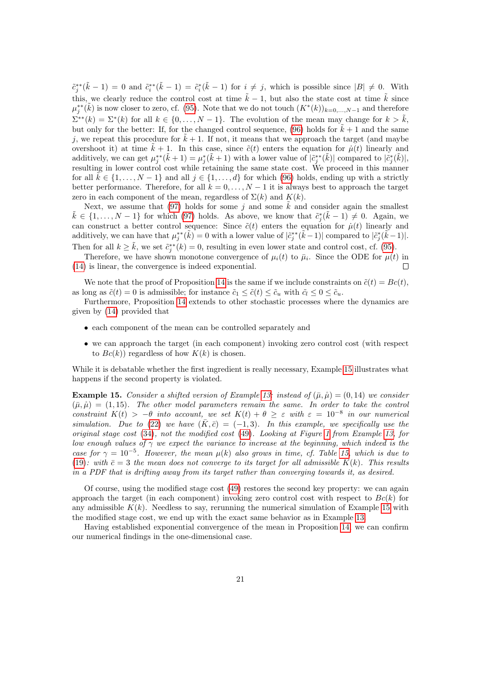$\tilde{c}^{**}_j(\tilde{k}-1) = 0$  and  $\tilde{c}^{**}_i(\tilde{k}-1) = \tilde{c}^*_i(\tilde{k}-1)$  for  $i \neq j$ , which is possible since  $|B| \neq 0$ . With this, we clearly reduce the control cost at time  $\tilde{k} - 1$ , but also the state cost at time  $\tilde{k}$  since  $\mu_j^{**}(\tilde{k})$  is now closer to zero, cf. [\(95\)](#page-19-2). Note that we do not touch  $(K^*(k))_{k=0,\ldots,N-1}$  and therefore  $\Sigma^{**}(k) = \Sigma^*(k)$  for all  $k \in \{0, ..., N-1\}$ . The evolution of the mean may change for  $k > \tilde{k}$ , but only for the better: If, for the changed control sequence, [\(96\)](#page-19-1) holds for  $\tilde{k} + 1$  and the same j, we repeat this procedure for  $\tilde{k} + 1$ . If not, it means that we approach the target (and maybe overshoot it) at time  $\tilde{k} + 1$ . In this case, since  $\tilde{c}(t)$  enters the equation for  $\mu(t)$  linearly and additively, we can get  $\mu_j^{**}(\tilde{k} + 1) = \mu_j^*(\tilde{k} + 1)$  with a lower value of  $|\tilde{c}_j^{**}(\tilde{k})|$  compared to  $|\tilde{c}_j^*(\tilde{k})|$ , resulting in lower control cost while retaining the same state cost. We proceed in this manner for all  $k \in \{1, \ldots, N-1\}$  and all  $j \in \{1, \ldots, d\}$  for which [\(96\)](#page-19-1) holds, ending up with a strictly better performance. Therefore, for all  $k = 0, \ldots, N - 1$  it is always best to approach the target zero in each component of the mean, regardless of  $\Sigma(k)$  and  $K(k)$ .

Next, we assume that [\(97\)](#page-19-3) holds for some j and some  $\overline{k}$  and consider again the smallest  $\tilde{k} \in \{1, \ldots, N-1\}$  for which [\(97\)](#page-19-3) holds. As above, we know that  $\tilde{c}_j^*(\tilde{k}-1) \neq 0$ . Again, we can construct a better control sequence: Since  $\tilde{c}(t)$  enters the equation for  $\mu(t)$  linearly and additively, we can have that  $\mu_j^{**}(\tilde{k}) = 0$  with a lower value of  $|\tilde{c}_j^{**}(\tilde{k}-1)|$  compared to  $|\tilde{c}_j^{*}(\tilde{k}-1)|$ . Then for all  $k \geq \tilde{k}$ , we set  $\tilde{c}_j^{**}(k) = 0$ , resulting in even lower state and control cost, cf. [\(95\)](#page-19-2).

Therefore, we have shown monotone convergence of  $\mu_i(t)$  to  $\bar{\mu}_i$ . Since the ODE for  $\mu(t)$  in [\(14\)](#page-3-4) is linear, the convergence is indeed exponential.  $\Box$ 

We note that the proof of Proposition [14](#page-19-4) is the same if we include constraints on  $\tilde{c}(t) = Bc(t)$ , as long as  $\tilde{c}(t) = 0$  is admissible; for instance  $\tilde{c}_1 \leq \tilde{c}(t) \leq \tilde{c}_u$  with  $\tilde{c}_l \leq 0 \leq \tilde{c}_u$ .

Furthermore, Proposition [14](#page-19-4) extends to other stochastic processes where the dynamics are given by [\(14\)](#page-3-4) provided that

- each component of the mean can be controlled separately and
- we can approach the target (in each component) invoking zero control cost (with respect to  $Bc(k)$  regardless of how  $K(k)$  is chosen.

While it is debatable whether the first ingredient is really necessary, Example [15](#page-20-0) illustrates what happens if the second property is violated.

<span id="page-20-0"></span>**Example 15.** Consider a shifted version of Example [13:](#page-18-3) instead of  $(\bar{\mu}, \hat{\mu}) = (0, 14)$  we consider  $(\bar{\mu},\tilde{\mu}) = (1,15)$ . The other model parameters remain the same. In order to take the control constraint  $K(t) > -\theta$  into account, we set  $K(t) + \theta \geq \varepsilon$  with  $\varepsilon = 10^{-8}$  in our numerical simulation. Due to [\(22\)](#page-4-3) we have  $(\bar{K}, \bar{c}) = (-1, 3)$ . In this example, we specifically use the original stage cost [\(34\)](#page-8-1), not the modified cost [\(49\)](#page-10-2). Looking at Figure [1](#page-18-1) from Example [13,](#page-18-3) for low enough values of  $\gamma$  we expect the variance to increase at the beginning, which indeed is the case for  $\gamma = 10^{-5}$ . However, the mean  $\mu(k)$  also grows in time, cf. Table [15,](#page-20-0) which is due to [\(19\)](#page-4-1): with  $\bar{c}=3$  the mean does not converge to its target for all admissible K(k). This results in a PDF that is drifting away from its target rather than converging towards it, as desired.

Of course, using the modified stage cost [\(49\)](#page-10-2) restores the second key property: we can again approach the target (in each component) invoking zero control cost with respect to  $Bc(k)$  for any admissible  $K(k)$ . Needless to say, rerunning the numerical simulation of Example [15](#page-20-0) with the modified stage cost, we end up with the exact same behavior as in Example [13.](#page-18-3)

Having established exponential convergence of the mean in Proposition [14,](#page-19-4) we can confirm our numerical findings in the one-dimensional case.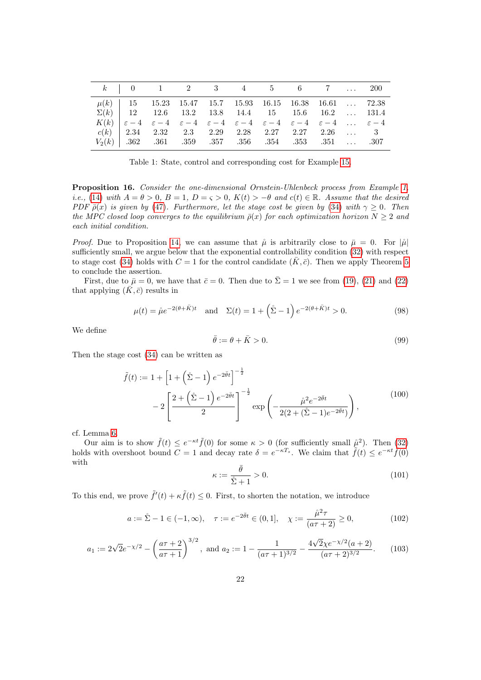|  |  |  | $k$   0   1   2   2   3   4   4   5   5   6   7   1   1   200   200   200   200   200   200   200   200   200   200   200   200   200   200   200   200   200   200   200   200   200   200   200   200   200   200   200   2 |  |  |
|--|--|--|-------------------------------------------------------------------------------------------------------------------------------------------------------------------------------------------------------------------------------|--|--|
|  |  |  | $\mu(k)$   15 15.23 15.47 15.7 15.93 16.15 16.38 16.61  72.38                                                                                                                                                                 |  |  |
|  |  |  | $\Sigma(k)$   12 12.6 13.2 13.8 14.4 15 15.6 16.2  131.4                                                                                                                                                                      |  |  |
|  |  |  | $K(k)$ $\varepsilon - 4$ $\varepsilon - 4$ $\varepsilon - 4$ $\varepsilon - 4$ $\varepsilon - 4$ $\varepsilon - 4$ $\varepsilon - 4$ $\varepsilon - 4$ $\varepsilon - 4$                                                      |  |  |
|  |  |  | $c(k)$   2.34 2.32 2.3 2.29 2.28 2.27 2.27 2.26  3                                                                                                                                                                            |  |  |
|  |  |  | $V_2(k)$ 362 .361 .359 .357 .356 .354 .353 .351  .307                                                                                                                                                                         |  |  |

Table 1: State, control and corresponding cost for Example [15.](#page-20-0)

<span id="page-21-0"></span>Proposition 16. Consider the one-dimensional Ornstein-Uhlenbeck process from Example [1,](#page-0-1) i.e., [\(14\)](#page-3-4) with  $A = \theta > 0$ ,  $B = 1$ ,  $D = \varsigma > 0$ ,  $K(t) > -\theta$  and  $c(t) \in \mathbb{R}$ . Assume that the desired PDF  $\bar{\rho}(x)$  is given by [\(47\)](#page-10-0). Furthermore, let the stage cost be given by [\(34\)](#page-8-1) with  $\gamma \geq 0$ . Then the MPC closed loop converges to the equilibrium  $\bar{\rho}(x)$  for each optimization horizon  $N \geq 2$  and each initial condition.

*Proof.* Due to Proposition [14,](#page-19-4) we can assume that  $\hat{\mu}$  is arbitrarily close to  $\bar{\mu} = 0$ . For  $|\hat{\mu}|$ sufficiently small, we argue below that the exponential controllability condition [\(32\)](#page-7-0) with respect to stage cost [\(34\)](#page-8-1) holds with  $C = 1$  for the control candidate  $(\bar{K}, \bar{c})$ . Then we apply Theorem [5](#page-7-3) to conclude the assertion.

First, due to  $\bar{\mu} = 0$ , we have that  $\bar{c} = 0$ . Then due to  $\bar{\Sigma} = 1$  we see from [\(19\)](#page-4-1), [\(21\)](#page-4-2) and [\(22\)](#page-4-3) that applying  $(\bar{K}, \bar{c})$  results in

$$
\mu(t) = \mathring{\mu}e^{-2(\theta + \bar{K})t} \quad \text{and} \quad \Sigma(t) = 1 + \left(\mathring{\Sigma} - 1\right)e^{-2(\theta + \bar{K})t} > 0. \tag{98}
$$

We define

$$
\bar{\theta} := \theta + \bar{K} > 0. \tag{99}
$$

Then the stage cost [\(34\)](#page-8-1) can be written as

$$
\tilde{f}(t) := 1 + \left[1 + \left(\tilde{\Sigma} - 1\right)e^{-2\tilde{\theta}t}\right]^{-\frac{1}{2}} \n- 2\left[\frac{2 + \left(\tilde{\Sigma} - 1\right)e^{-2\tilde{\theta}t}}{2}\right]^{-\frac{1}{2}} \exp\left(-\frac{\hat{\mu}^2 e^{-2\tilde{\theta}t}}{2(2 + (\tilde{\Sigma} - 1)e^{-2\tilde{\theta}t})}\right),
$$
\n(100)

cf. Lemma [6.](#page-8-4)

Our aim is to show  $\tilde{f}(t) \leq e^{-\kappa t} \tilde{f}(0)$  for some  $\kappa > 0$  (for sufficiently small  $\mu^2$ ). Then [\(32\)](#page-7-0) holds with overshoot bound  $\overline{C} = 1$  and decay rate  $\delta = e^{-\kappa T_s}$ . We claim that  $\tilde{f}(t) \leq e^{-\kappa t} \tilde{f}(0)$ with

$$
\kappa := \frac{\bar{\theta}}{\frac{\bar{\zeta}}{2} + 1} > 0. \tag{101}
$$

To this end, we prove  $\tilde{f}'(t) + \kappa \tilde{f}(t) \leq 0$ . First, to shorten the notation, we introduce

$$
a := \mathring{\Sigma} - 1 \in (-1, \infty), \quad \tau := e^{-2\bar{\theta}t} \in (0, 1], \quad \chi := \frac{\mathring{\mu}^2 \tau}{(a\tau + 2)} \ge 0,
$$
 (102)

$$
a_1 := 2\sqrt{2}e^{-\chi/2} - \left(\frac{a\tau + 2}{a\tau + 1}\right)^{3/2}, \text{ and } a_2 := 1 - \frac{1}{(a\tau + 1)^{3/2}} - \frac{4\sqrt{2}\chi e^{-\chi/2}(a+2)}{(a\tau + 2)^{3/2}}.
$$
 (103)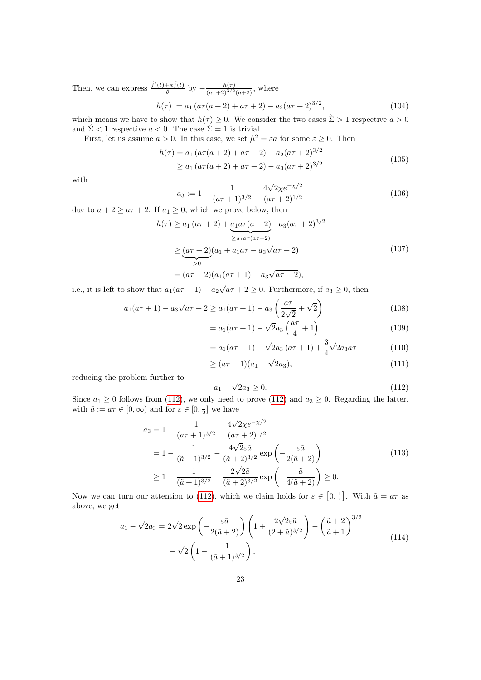Then, we can express  $\frac{\tilde{f}'(t)+\kappa\tilde{f}(t)}{\tilde{\theta}}$  by  $-\frac{h(\tau)}{(a\tau+2)^{3/2}}$  $\frac{n(\tau)}{(a\tau+2)^{3/2}(a+2)}$ , where

$$
h(\tau) := a_1 \left( a\tau (a+2) + a\tau + 2 \right) - a_2 \left( a\tau + 2 \right)^{3/2},\tag{104}
$$

which means we have to show that  $h(\tau) \geq 0$ . We consider the two cases  $\mathring{\Sigma} > 1$  respective  $a > 0$ and  $\mathring{\Sigma}$  < 1 respective  $a < 0$ . The case  $\mathring{\Sigma} = 1$  is trivial.

First, let us assume  $a > 0$ . In this case, we set  $\mathring{\mu}^2 = \varepsilon a$  for some  $\varepsilon \geq 0$ . Then

$$
h(\tau) = a_1 (a\tau(a+2) + a\tau + 2) - a_2 (a\tau + 2)^{3/2}
$$
  
\n
$$
\ge a_1 (a\tau(a+2) + a\tau + 2) - a_3 (a\tau + 2)^{3/2}
$$
\n(105)

with

$$
a_3 := 1 - \frac{1}{(a\tau + 1)^{3/2}} - \frac{4\sqrt{2}\chi e^{-\chi/2}}{(a\tau + 2)^{1/2}}
$$
(106)

due to  $a + 2 \ge a\tau + 2$ . If  $a_1 \ge 0$ , which we prove below, then

$$
h(\tau) \ge a_1 (a\tau + 2) + \underbrace{a_1 a\tau (a+2)}_{\ge a_1 a\tau (a\tau + 2)} - a_3 (a\tau + 2)^{3/2}
$$
  
 
$$
\ge \underbrace{(a\tau + 2)}_{>0} (a_1 + a_1 a\tau - a_3 \sqrt{a\tau + 2})
$$
 (107)  
\n
$$
= (a\tau + 2)(a_1 (a\tau + 1) - a_3 \sqrt{a\tau + 2})
$$

$$
= (a\tau + 2)(a_1(a\tau + 1) - a_3\sqrt{a\tau + 2}),
$$

i.e., it is left to show that  $a_1(a\tau + 1) - a_2\sqrt{a\tau + 2} \ge 0$ . Furthermore, if  $a_3 \ge 0$ , then

$$
a_1(a\tau + 1) - a_3\sqrt{a\tau + 2} \ge a_1(a\tau + 1) - a_3\left(\frac{a\tau}{2\sqrt{2}} + \sqrt{2}\right)
$$
(108)  

$$
= a_1(a\tau + 1) - \sqrt{2}a_2\left(\frac{a\tau}{2} + 1\right)
$$
(109)

$$
=a_1(a\tau+1)-\sqrt{2}a_3\left(\frac{a\tau}{4}+1\right)
$$
\n(109)

$$
= a_1(a\tau + 1) - \sqrt{2}a_3(a\tau + 1) + \frac{3}{4}\sqrt{2}a_3a\tau
$$
 (110)

$$
\geq (a\tau + 1)(a_1 - \sqrt{2}a_3),\tag{111}
$$

reducing the problem further to

<span id="page-22-0"></span>
$$
a_1 - \sqrt{2}a_3 \ge 0. \tag{112}
$$

Since  $a_1 \geq 0$  follows from [\(112\)](#page-22-0), we only need to prove (112) and  $a_3 \geq 0$ . Regarding the latter, with  $\tilde{a} := a\tau \in [0, \infty)$  and for  $\varepsilon \in [0, \frac{1}{2}]$  we have

$$
a_3 = 1 - \frac{1}{(a\tau + 1)^{3/2}} - \frac{4\sqrt{2}\chi e^{-\chi/2}}{(a\tau + 2)^{1/2}}
$$
  
=  $1 - \frac{1}{(\tilde{a} + 1)^{3/2}} - \frac{4\sqrt{2}\varepsilon \tilde{a}}{(\tilde{a} + 2)^{3/2}} \exp\left(-\frac{\varepsilon \tilde{a}}{2(\tilde{a} + 2)}\right)$   
 $\geq 1 - \frac{1}{(\tilde{a} + 1)^{3/2}} - \frac{2\sqrt{2}\tilde{a}}{(\tilde{a} + 2)^{3/2}} \exp\left(-\frac{\tilde{a}}{4(\tilde{a} + 2)}\right) \geq 0.$  (113)

Now we can turn our attention to [\(112\)](#page-22-0), which we claim holds for  $\varepsilon \in [0, \frac{1}{4}]$ . With  $\tilde{a} = a\tau$  as above, we get

$$
a_1 - \sqrt{2}a_3 = 2\sqrt{2}\exp\left(-\frac{\varepsilon\tilde{a}}{2(\tilde{a}+2)}\right)\left(1 + \frac{2\sqrt{2}\varepsilon\tilde{a}}{(2+\tilde{a})^{3/2}}\right) - \left(\frac{\tilde{a}+2}{\tilde{a}+1}\right)^{3/2}
$$

$$
-\sqrt{2}\left(1 - \frac{1}{(\tilde{a}+1)^{3/2}}\right),\tag{114}
$$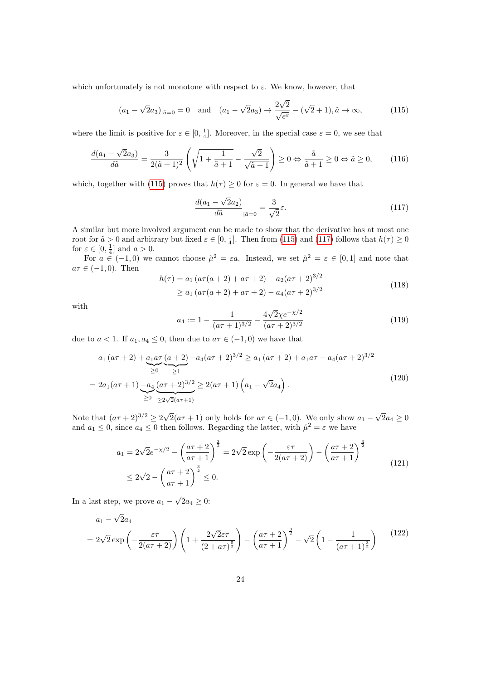which unfortunately is not monotone with respect to  $\varepsilon$ . We know, however, that

<span id="page-23-0"></span>
$$
(a_1 - \sqrt{2}a_3)_{|\tilde{a}=0} = 0 \text{ and } (a_1 - \sqrt{2}a_3) \to \frac{2\sqrt{2}}{\sqrt{e^{\varepsilon}}} - (\sqrt{2} + 1), \tilde{a} \to \infty,
$$
 (115)

where the limit is positive for  $\varepsilon \in [0, \frac{1}{4}]$ . Moreover, in the special case  $\varepsilon = 0$ , we see that

<span id="page-23-2"></span>
$$
\frac{d(a_1 - \sqrt{2}a_3)}{d\tilde{a}} = \frac{3}{2(\tilde{a} + 1)^2} \left( \sqrt{1 + \frac{1}{\tilde{a} + 1}} - \frac{\sqrt{2}}{\sqrt{\tilde{a} + 1}} \right) \ge 0 \Leftrightarrow \frac{\tilde{a}}{\tilde{a} + 1} \ge 0 \Leftrightarrow \tilde{a} \ge 0,
$$
 (116)

which, together with [\(115\)](#page-23-0) proves that  $h(\tau) \geq 0$  for  $\varepsilon = 0$ . In general we have that

<span id="page-23-1"></span>
$$
\frac{d(a_1 - \sqrt{2}a_2)}{d\tilde{a}}_{|\tilde{a}=0} = \frac{3}{\sqrt{2}}\varepsilon.
$$
\n(117)

A similar but more involved argument can be made to show that the derivative has at most one root for  $\tilde{a} > 0$  and arbitrary but fixed  $\varepsilon \in [0, \frac{1}{4}]$ . Then from [\(115\)](#page-23-0) and [\(117\)](#page-23-1) follows that  $h(\tau) \ge 0$ for  $\varepsilon \in [0, \frac{1}{4}]$  and  $a > 0$ .

For  $a \in (-1,0)$  we cannot choose  $\mathring{\mu}^2 = \varepsilon a$ . Instead, we set  $\mathring{\mu}^2 = \varepsilon \in [0,1]$  and note that  $a\tau \in (-1,0)$ . Then

$$
h(\tau) = a_1 (a\tau(a+2) + a\tau + 2) - a_2 (a\tau + 2)^{3/2}
$$
  
\n
$$
\ge a_1 (a\tau(a+2) + a\tau + 2) - a_4 (a\tau + 2)^{3/2}
$$
\n(118)

with

$$
a_4 := 1 - \frac{1}{(a\tau + 1)^{3/2}} - \frac{4\sqrt{2}\chi e^{-\chi/2}}{(a\tau + 2)^{3/2}}
$$
(119)

due to  $a < 1$ . If  $a_1, a_4 \leq 0$ , then due to  $a\tau \in (-1,0)$  we have that

$$
a_1 (a\tau + 2) + \underbrace{a_1 a\tau}_{\geq 0} \underbrace{(a+2)}_{\geq 1} - a_4 (a\tau + 2)^{3/2} \geq a_1 (a\tau + 2) + a_1 a\tau - a_4 (a\tau + 2)^{3/2}
$$
\n
$$
= 2a_1 (a\tau + 1) - a_4 \underbrace{(a\tau + 2)^{3/2}}_{\geq 0} \geq 2(a\tau + 1) \left(a_1 - \sqrt{2}a_4\right).
$$
\n(120)

Note that  $(a\tau + 2)^{3/2} \ge 2\sqrt{ }$  $2(a\tau + 1)$  only holds for  $a\tau \in (-1,0)$ . We only show  $a_1$  – √  $2a_4 \geq 0$ and  $a_1 \leq 0$ , since  $a_4 \leq 0$  then follows. Regarding the latter, with  $\mathring{\mu}^2 = \varepsilon$  we have

$$
a_1 = 2\sqrt{2}e^{-\chi/2} - \left(\frac{a\tau + 2}{a\tau + 1}\right)^{\frac{3}{2}} = 2\sqrt{2}\exp\left(-\frac{\varepsilon\tau}{2(a\tau + 2)}\right) - \left(\frac{a\tau + 2}{a\tau + 1}\right)^{\frac{3}{2}}
$$
  

$$
\leq 2\sqrt{2} - \left(\frac{a\tau + 2}{a\tau + 1}\right)^{\frac{3}{2}} \leq 0.
$$
 (121)

In a last step, we prove  $a_1$  – √  $2a_4 \geq 0$ :

$$
a_1 - \sqrt{2}a_4
$$
  
=  $2\sqrt{2}\exp\left(-\frac{\varepsilon\tau}{2(a\tau+2)}\right)\left(1 + \frac{2\sqrt{2}\varepsilon\tau}{(2+a\tau)^{\frac{5}{2}}}\right) - \left(\frac{a\tau+2}{a\tau+1}\right)^{\frac{3}{2}} - \sqrt{2}\left(1 - \frac{1}{(a\tau+1)^{\frac{3}{2}}}\right)$  (122)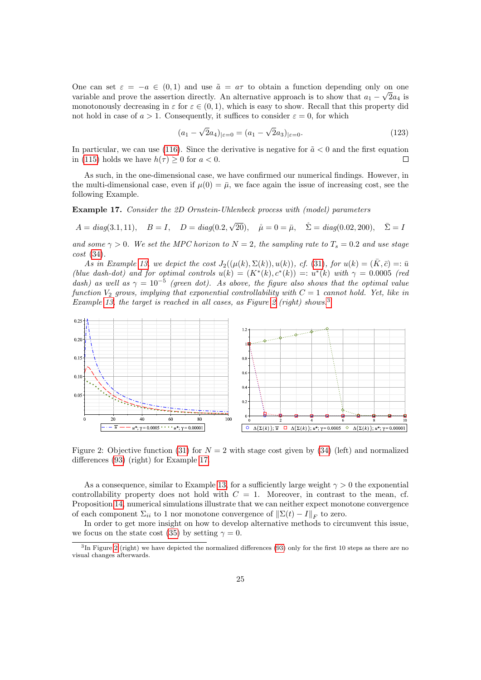One can set  $\varepsilon = -a \in (0,1)$  and use  $\tilde{a} = a\tau$  to obtain a function depending only on one variable and prove the assertion directly. An alternative approach is to show that  $a_1 - \sqrt{2}a_4$  is monotonously decreasing in  $\varepsilon$  for  $\varepsilon \in (0,1)$ , which is easy to show. Recall that this property did not hold in case of  $a > 1$ . Consequently, it suffices to consider  $\varepsilon = 0$ , for which

$$
(a_1 - \sqrt{2}a_4)_{|\varepsilon=0} = (a_1 - \sqrt{2}a_3)_{|\varepsilon=0}.
$$
\n(123)

In particular, we can use [\(116\)](#page-23-2). Since the derivative is negative for  $\tilde{a} < 0$  and the first equation in [\(115\)](#page-23-0) holds we have  $h(\tau) \geq 0$  for  $a < 0$ .  $\Box$ 

As such, in the one-dimensional case, we have confirmed our numerical findings. However, in the multi-dimensional case, even if  $\mu(0) = \bar{\mu}$ , we face again the issue of increasing cost, see the following Example.

<span id="page-24-2"></span>Example 17. Consider the 2D Ornstein-Uhlenbeck process with (model) parameters

$$
A = diag(3.1, 11), \quad B = I, \quad D = diag(0.2, \sqrt{20}), \quad \mathring{\mu} = 0 = \bar{\mu}, \quad \mathring{\Sigma} = diag(0.02, 200), \quad \bar{\Sigma} = I
$$

and some  $\gamma > 0$ . We set the MPC horizon to  $N = 2$ , the sampling rate to  $T_s = 0.2$  and use stage  $cost(34)$  $cost(34)$ .

As in Example [13,](#page-18-3) we depict the cost  $J_2((\mu(k), \Sigma(k)), u(k))$ , cf. [\(31\)](#page-6-1), for  $u(k) = (\bar{K}, \bar{c}) =: \bar{u}$ (blue dash-dot) and for optimal controls  $u(k) = (K^*(k), c^*(k)) =: u^*(k)$  with  $\gamma = 0.0005$  (red dash) as well as  $\gamma = 10^{-5}$  (green dot). As above, the figure also shows that the optimal value function  $V_2$  grows, implying that exponential controllability with  $C = 1$  cannot hold. Yet, like in Example [13,](#page-18-3) the target is reached in all cases, as Figure [2](#page-24-0) (right) shows.<sup>[3](#page-24-1)</sup>



<span id="page-24-0"></span>Figure 2: Objective function [\(31\)](#page-6-1) for  $N = 2$  with stage cost given by [\(34\)](#page-8-1) (left) and normalized differences [\(93\)](#page-18-2) (right) for Example [17.](#page-24-2)

As a consequence, similar to Example [13,](#page-18-3) for a sufficiently large weight  $\gamma > 0$  the exponential controllability property does not hold with  $C = 1$ . Moreover, in contrast to the mean, cf. Proposition [14,](#page-19-4) numerical simulations illustrate that we can neither expect monotone convergence of each component  $\Sigma_{ii}$  to 1 nor monotone convergence of  $\|\Sigma(t) - I\|_F$  to zero.

In order to get more insight on how to develop alternative methods to circumvent this issue, we focus on the state cost [\(35\)](#page-8-5) by setting  $\gamma = 0$ .

<span id="page-24-1"></span><sup>&</sup>lt;sup>3</sup>In Figure [2](#page-24-0) (right) we have depicted the normalized differences [\(93\)](#page-18-2) only for the first 10 steps as there are no visual changes afterwards.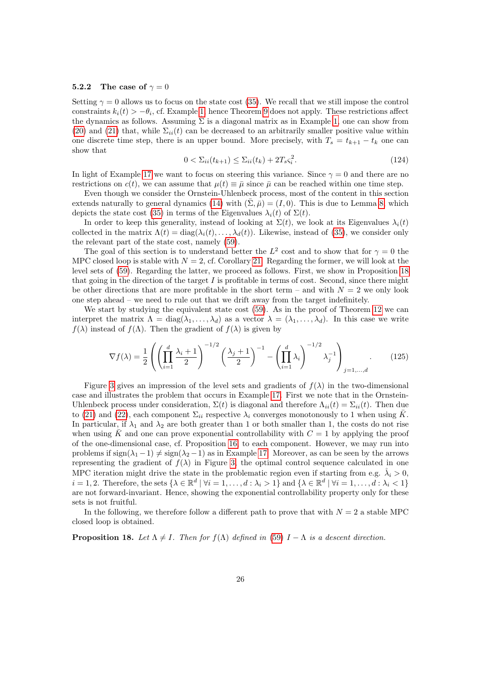#### 5.2.2 The case of  $\gamma = 0$

Setting  $\gamma = 0$  allows us to focus on the state cost [\(35\)](#page-8-5). We recall that we still impose the control constraints  $k_i(t) > -\theta_i$ , cf. Example [1,](#page-0-1) hence Theorem [9](#page-13-3) does not apply. These restrictions affect the dynamics as follows. Assuming  $\Sigma$  is a diagonal matrix as in Example [1,](#page-0-1) one can show from [\(20\)](#page-4-4) and [\(21\)](#page-4-2) that, while  $\Sigma_{ii}(t)$  can be decreased to an arbitrarily smaller positive value within one discrete time step, there is an upper bound. More precisely, with  $T_s = t_{k+1} - t_k$  one can show that

<span id="page-25-1"></span>
$$
0 < \sum_{ii}(t_{k+1}) \le \sum_{ii}(t_k) + 2T_s \varsigma_i^2. \tag{124}
$$

In light of Example [17](#page-24-2) we want to focus on steering this variance. Since  $\gamma = 0$  and there are no restrictions on  $c(t)$ , we can assume that  $\mu(t) \equiv \bar{\mu}$  since  $\bar{\mu}$  can be reached within one time step.

Even though we consider the Ornstein-Uhlenbeck process, most of the content in this section extends naturally to general dynamics [\(14\)](#page-3-4) with  $(\bar{\Sigma}, \bar{\mu}) = (I, 0)$ . This is due to Lemma [8,](#page-12-1) which depicts the state cost [\(35\)](#page-8-5) in terms of the Eigenvalues  $\lambda_i(t)$  of  $\Sigma(t)$ .

In order to keep this generality, instead of looking at  $\Sigma(t)$ , we look at its Eigenvalues  $\lambda_i(t)$ collected in the matrix  $\Lambda(t) = \text{diag}(\lambda_i(t), \dots, \lambda_d(t))$ . Likewise, instead of [\(35\)](#page-8-5), we consider only the relevant part of the state cost, namely [\(59\)](#page-12-2).

The goal of this section is to understand better the  $L^2$  cost and to show that for  $\gamma = 0$  the MPC closed loop is stable with  $N = 2$ , cf. Corollary [21.](#page-28-0) Regarding the former, we will look at the level sets of [\(59\)](#page-12-2). Regarding the latter, we proceed as follows. First, we show in Proposition [18](#page-25-0) that going in the direction of the target  $I$  is profitable in terms of cost. Second, since there might be other directions that are more profitable in the short term – and with  $N = 2$  we only look one step ahead – we need to rule out that we drift away from the target indefinitely.

We start by studying the equivalent state cost [\(59\)](#page-12-2). As in the proof of Theorem [12](#page-14-0) we can interpret the matrix  $\Lambda = \text{diag}(\lambda_1, \ldots, \lambda_d)$  as a vector  $\lambda = (\lambda_1, \ldots, \lambda_d)$ . In this case we write  $f(\lambda)$  instead of  $f(\Lambda)$ . Then the gradient of  $f(\lambda)$  is given by

$$
\nabla f(\lambda) = \frac{1}{2} \left( \left( \prod_{i=1}^d \frac{\lambda_i + 1}{2} \right)^{-1/2} \left( \frac{\lambda_j + 1}{2} \right)^{-1} - \left( \prod_{i=1}^d \lambda_i \right)^{-1/2} \lambda_j^{-1} \right)_{j=1,\dots,d} .
$$
 (125)

Figure [3](#page-26-0) gives an impression of the level sets and gradients of  $f(\lambda)$  in the two-dimensional case and illustrates the problem that occurs in Example [17.](#page-24-2) First we note that in the Ornstein-Uhlenbeck process under consideration,  $\Sigma(t)$  is diagonal and therefore  $\Lambda_{ii}(t) = \Sigma_{ii}(t)$ . Then due to [\(21\)](#page-4-2) and [\(22\)](#page-4-3), each component  $\Sigma_{ii}$  respective  $\lambda_i$  converges monotonously to 1 when using  $\bar{K}$ . In particular, if  $\lambda_1$  and  $\lambda_2$  are both greater than 1 or both smaller than 1, the costs do not rise when using K and one can prove exponential controllability with  $C = 1$  by applying the proof of the one-dimensional case, cf. Proposition [16,](#page-21-0) to each component. However, we may run into problems if  $sign(\lambda_1 - 1) \neq sign(\lambda_2 - 1)$  as in Example [17.](#page-24-2) Moreover, as can be seen by the arrows representing the gradient of  $f(\lambda)$  in Figure [3,](#page-26-0) the optimal control sequence calculated in one MPC iteration might drive the state in the problematic region even if starting from e.g.  $\mathring{\lambda}_i > 0$ ,  $i = 1, 2$ . Therefore, the sets  $\{\lambda \in \mathbb{R}^d \mid \forall i = 1, ..., d : \lambda_i > 1\}$  and  $\{\lambda \in \mathbb{R}^d \mid \forall i = 1, ..., d : \lambda_i < 1\}$ are not forward-invariant. Hence, showing the exponential controllability property only for these sets is not fruitful.

In the following, we therefore follow a different path to prove that with  $N = 2$  a stable MPC closed loop is obtained.

#### <span id="page-25-0"></span>**Proposition 18.** Let  $\Lambda \neq I$ . Then for  $f(\Lambda)$  defined in [\(59\)](#page-12-2)  $I - \Lambda$  is a descent direction.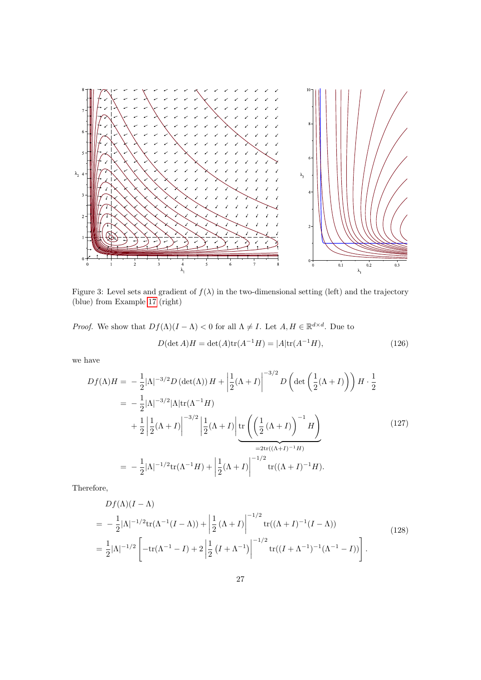

<span id="page-26-0"></span>Figure 3: Level sets and gradient of  $f(\lambda)$  in the two-dimensional setting (left) and the trajectory (blue) from Example [17](#page-24-2) (right)

*Proof.* We show that  $Df(\Lambda)(I - \Lambda) < 0$  for all  $\Lambda \neq I$ . Let  $A, H \in \mathbb{R}^{d \times d}$ . Due to

$$
D(\det A)H = \det(A)\text{tr}(A^{-1}H) = |A|\text{tr}(A^{-1}H),\tag{126}
$$

we have

$$
Df(\Lambda)H = -\frac{1}{2}|\Lambda|^{-3/2}D(\det(\Lambda))H + \left|\frac{1}{2}(\Lambda + I)\right|^{-3/2}D\left(\det\left(\frac{1}{2}(\Lambda + I)\right)\right)H \cdot \frac{1}{2}
$$
  
\n
$$
= -\frac{1}{2}|\Lambda|^{-3/2}|\Lambda|\text{tr}(\Lambda^{-1}H)
$$
  
\n
$$
+ \frac{1}{2}\left|\frac{1}{2}(\Lambda + I)\right|^{-3/2}\left|\frac{1}{2}(\Lambda + I)\right|\text{tr}\left(\left(\frac{1}{2}(\Lambda + I)\right)^{-1}H\right)
$$
  
\n
$$
= -\frac{1}{2}|\Lambda|^{-1/2}\text{tr}(\Lambda^{-1}H) + \left|\frac{1}{2}(\Lambda + I)\right|^{-1/2}\text{tr}((\Lambda + I)^{-1}H).
$$
\n(127)

Therefore,

$$
Df(\Lambda)(I - \Lambda)
$$
  
=  $-\frac{1}{2} |\Lambda|^{-1/2} \text{tr}(\Lambda^{-1}(I - \Lambda)) + \left| \frac{1}{2} (\Lambda + I) \right|^{-1/2} \text{tr}((\Lambda + I)^{-1}(I - \Lambda))$   
=  $\frac{1}{2} |\Lambda|^{-1/2} \left[ -\text{tr}(\Lambda^{-1} - I) + 2 \left| \frac{1}{2} (I + \Lambda^{-1}) \right|^{-1/2} \text{tr}((I + \Lambda^{-1})^{-1}(\Lambda^{-1} - I)) \right].$  (128)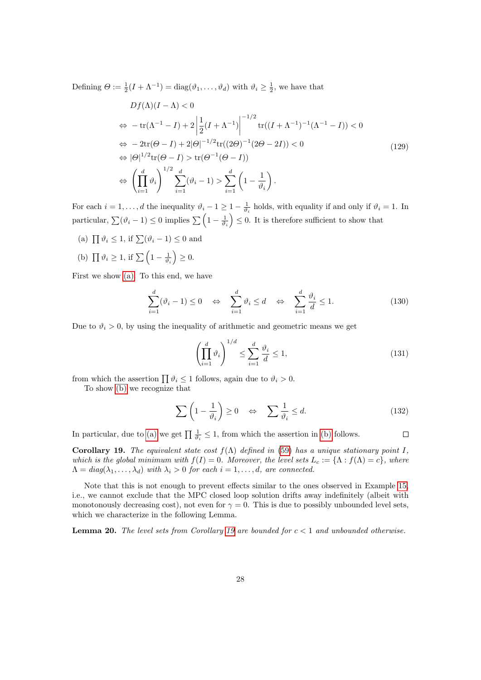Defining  $\Theta := \frac{1}{2}(I + \Lambda^{-1}) = \text{diag}(\vartheta_1, \dots, \vartheta_d)$  with  $\vartheta_i \ge \frac{1}{2}$ , we have that

$$
Df(\Lambda)(I-\Lambda) < 0
$$
  
\n
$$
\Leftrightarrow -\operatorname{tr}(\Lambda^{-1} - I) + 2\left|\frac{1}{2}(I+\Lambda^{-1})\right|^{-1/2}\operatorname{tr}((I+\Lambda^{-1})^{-1}(\Lambda^{-1} - I)) < 0
$$
  
\n
$$
\Leftrightarrow -2\operatorname{tr}(\Theta - I) + 2|\Theta|^{-1/2}\operatorname{tr}((2\Theta)^{-1}(2\Theta - 2I)) < 0
$$
  
\n
$$
\Leftrightarrow |\Theta|^{1/2}\operatorname{tr}(\Theta - I) > \operatorname{tr}(\Theta^{-1}(\Theta - I))
$$
  
\n
$$
\Leftrightarrow \left(\prod_{i=1}^{d}\vartheta_{i}\right)^{1/2}\sum_{i=1}^{d}(\vartheta_{i} - 1) > \sum_{i=1}^{d}\left(1 - \frac{1}{\vartheta_{i}}\right).
$$
\n(129)

For each  $i = 1, \ldots, d$  the inequality  $\vartheta_i - 1 \geq 1 - \frac{1}{\vartheta_i}$  holds, with equality if and only if  $\vartheta_i = 1$ . In particular,  $\sum_{i=1}^{\infty}(\vartheta_i - 1) \leq 0$  implies  $\sum_{i=1}^{\infty}(\frac{1}{\vartheta_i - \frac{1}{\vartheta_i}}) \leq 0$ . It is therefore sufficient to show that

- <span id="page-27-0"></span>(a)  $\prod \vartheta_i \leq 1$ , if  $\sum (\vartheta_i - 1) \leq 0$  and
- <span id="page-27-1"></span>(b)  $\prod \vartheta_i \geq 1$ , if  $\sum \left(1 - \frac{1}{\vartheta_i}\right) \geq 0$ .

First we show [\(a\).](#page-27-0) To this end, we have

$$
\sum_{i=1}^{d} (\vartheta_i - 1) \le 0 \quad \Leftrightarrow \quad \sum_{i=1}^{d} \vartheta_i \le d \quad \Leftrightarrow \quad \sum_{i=1}^{d} \frac{\vartheta_i}{d} \le 1. \tag{130}
$$

Due to  $\vartheta_i > 0$ , by using the inequality of arithmetic and geometric means we get

$$
\left(\prod_{i=1}^{d} \vartheta_i\right)^{1/d} \le \sum_{i=1}^{d} \frac{\vartheta_i}{d} \le 1,
$$
\n(131)

from which the assertion  $\prod \vartheta_i \leq 1$  follows, again due to  $\vartheta_i > 0$ .

To show [\(b\)](#page-27-1) we recognize that

$$
\sum \left(1 - \frac{1}{\vartheta_i}\right) \ge 0 \quad \Leftrightarrow \quad \sum \frac{1}{\vartheta_i} \le d. \tag{132}
$$

 $\Box$ 

In particular, due to [\(a\)](#page-27-0) we get  $\prod_{i} \frac{1}{\vartheta_i} \leq 1$ , from which the assertion in [\(b\)](#page-27-1) follows.

<span id="page-27-2"></span>Corollary 19. The equivalent state cost  $f(\Lambda)$  defined in [\(59\)](#page-12-2) has a unique stationary point I, which is the global minimum with  $f(I) = 0$ . Moreover, the level sets  $L_c := {\Lambda : f(\Lambda) = c}$ , where  $\Lambda = diag(\lambda_1, \ldots, \lambda_d)$  with  $\lambda_i > 0$  for each  $i = 1, \ldots, d$ , are connected.

Note that this is not enough to prevent effects similar to the ones observed in Example [15,](#page-20-0) i.e., we cannot exclude that the MPC closed loop solution drifts away indefinitely (albeit with monotonously decreasing cost), not even for  $\gamma = 0$ . This is due to possibly unbounded level sets, which we characterize in the following Lemma.

**Lemma 20.** The level sets from Corollary [19](#page-27-2) are bounded for  $c < 1$  and unbounded otherwise.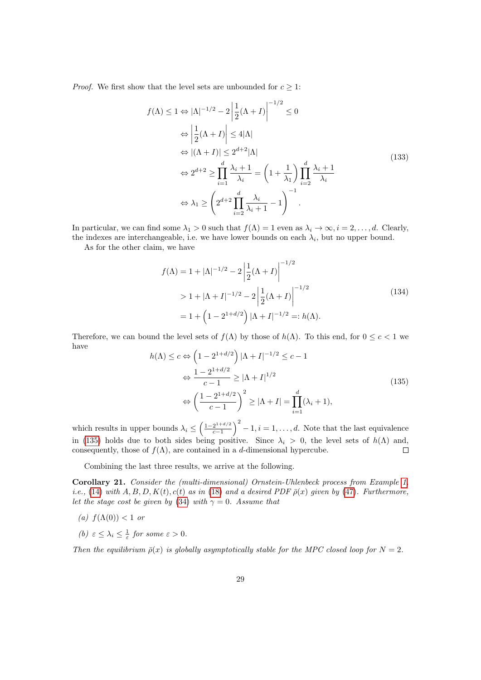*Proof.* We first show that the level sets are unbounded for  $c \geq 1$ :

$$
f(\Lambda) \le 1 \Leftrightarrow |\Lambda|^{-1/2} - 2\left|\frac{1}{2}(\Lambda + I)\right|^{-1/2} \le 0
$$
  
\n
$$
\Leftrightarrow \left|\frac{1}{2}(\Lambda + I)\right| \le 4|\Lambda|
$$
  
\n
$$
\Leftrightarrow |(\Lambda + I)| \le 2^{d+2}|\Lambda|
$$
  
\n
$$
\Leftrightarrow 2^{d+2} \ge \prod_{i=1}^{d} \frac{\lambda_i + 1}{\lambda_i} = \left(1 + \frac{1}{\lambda_1}\right) \prod_{i=2}^{d} \frac{\lambda_i + 1}{\lambda_i}
$$
  
\n
$$
\Leftrightarrow \lambda_1 \ge \left(2^{d+2} \prod_{i=2}^{d} \frac{\lambda_i}{\lambda_i + 1} - 1\right)^{-1}.
$$
\n(133)

In particular, we can find some  $\lambda_1 > 0$  such that  $f(\Lambda) = 1$  even as  $\lambda_i \to \infty$ ,  $i = 2, \ldots, d$ . Clearly,

the indexes are interchangeable, i.e. we have lower bounds on each  $\lambda_i$ , but no upper bound.

As for the other claim, we have

$$
f(\Lambda) = 1 + |\Lambda|^{-1/2} - 2 \left| \frac{1}{2} (\Lambda + I) \right|^{-1/2}
$$
  
> 1 + |\Lambda + I|^{-1/2} - 2 \left| \frac{1}{2} (\Lambda + I) \right|^{-1/2}  
= 1 + \left( 1 - 2^{1+d/2} \right) |\Lambda + I|^{-1/2} =: h(\Lambda). (134)

Therefore, we can bound the level sets of  $f(\Lambda)$  by those of  $h(\Lambda)$ . To this end, for  $0 \leq c < 1$  we have

<span id="page-28-1"></span>
$$
h(\Lambda) \le c \Leftrightarrow \left(1 - 2^{1 + d/2}\right) |\Lambda + I|^{-1/2} \le c - 1
$$
  

$$
\Leftrightarrow \frac{1 - 2^{1 + d/2}}{c - 1} \ge |\Lambda + I|^{1/2}
$$
  

$$
\Leftrightarrow \left(\frac{1 - 2^{1 + d/2}}{c - 1}\right)^2 \ge |\Lambda + I| = \prod_{i=1}^d (\lambda_i + 1),
$$
 (135)

 $\left(\frac{2^{1+d/2}}{c-1}\right)^2 - 1, i = 1, \ldots, d.$  Note that the last equivalence which results in upper bounds  $\lambda_i \leq \left(\frac{1-2^{1+d/2}}{c-1}\right)$ in [\(135\)](#page-28-1) holds due to both sides being positive. Since  $\lambda_i > 0$ , the level sets of  $h(\Lambda)$  and, consequently, those of  $f(\Lambda)$ , are contained in a d-dimensional hypercube.  $\Box$ 

Combining the last three results, we arrive at the following.

<span id="page-28-0"></span>Corollary 21. Consider the (multi-dimensional) Ornstein-Uhlenbeck process from Example [1,](#page-0-1) i.e., [\(14\)](#page-3-4) with  $A, B, D, K(t), c(t)$  as in [\(18\)](#page-4-0) and a desired PDF  $\bar{\rho}(x)$  given by [\(47\)](#page-10-0). Furthermore, let the stage cost be given by [\(34\)](#page-8-1) with  $\gamma = 0$ . Assume that

- (a)  $f(\Lambda(0)) < 1$  or
- (b)  $\varepsilon \leq \lambda_i \leq \frac{1}{\varepsilon}$  for some  $\varepsilon > 0$ .

Then the equilibrium  $\bar{\rho}(x)$  is globally asymptotically stable for the MPC closed loop for  $N = 2$ .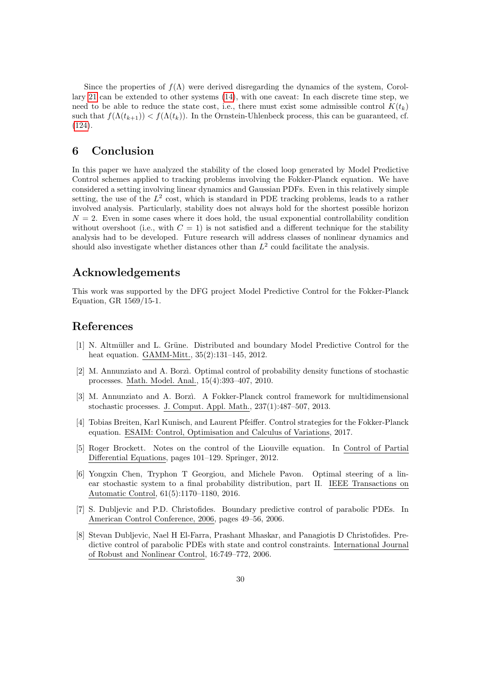Since the properties of  $f(\Lambda)$  were derived disregarding the dynamics of the system, Corollary [21](#page-28-0) can be extended to other systems [\(14\)](#page-3-4), with one caveat: In each discrete time step, we need to be able to reduce the state cost, i.e., there must exist some admissible control  $K(t_k)$ such that  $f(\Lambda(t_{k+1})) < f(\Lambda(t_k))$ . In the Ornstein-Uhlenbeck process, this can be guaranteed, cf. [\(124\)](#page-25-1).

# <span id="page-29-3"></span>6 Conclusion

In this paper we have analyzed the stability of the closed loop generated by Model Predictive Control schemes applied to tracking problems involving the Fokker-Planck equation. We have considered a setting involving linear dynamics and Gaussian PDFs. Even in this relatively simple setting, the use of the  $L^2$  cost, which is standard in PDE tracking problems, leads to a rather involved analysis. Particularly, stability does not always hold for the shortest possible horizon  $N = 2$ . Even in some cases where it does hold, the usual exponential controllability condition without overshoot (i.e., with  $C = 1$ ) is not satisfied and a different technique for the stability analysis had to be developed. Future research will address classes of nonlinear dynamics and should also investigate whether distances other than  $L^2$  could facilitate the analysis.

## Acknowledgements

This work was supported by the DFG project Model Predictive Control for the Fokker-Planck Equation, GR 1569/15-1.

### References

- <span id="page-29-8"></span>[1] N. Altmüller and L. Grüne. Distributed and boundary Model Predictive Control for the heat equation. GAMM-Mitt., 35(2):131–145, 2012.
- <span id="page-29-0"></span>[2] M. Annunziato and A. Borz`ı. Optimal control of probability density functions of stochastic processes. Math. Model. Anal., 15(4):393–407, 2010.
- <span id="page-29-1"></span>[3] M. Annunziato and A. Borzì. A Fokker-Planck control framework for multidimensional stochastic processes. J. Comput. Appl. Math., 237(1):487–507, 2013.
- <span id="page-29-4"></span>[4] Tobias Breiten, Karl Kunisch, and Laurent Pfeiffer. Control strategies for the Fokker-Planck equation. ESAIM: Control, Optimisation and Calculus of Variations, 2017.
- <span id="page-29-5"></span>[5] Roger Brockett. Notes on the control of the Liouville equation. In Control of Partial Differential Equations, pages 101–129. Springer, 2012.
- <span id="page-29-2"></span>[6] Yongxin Chen, Tryphon T Georgiou, and Michele Pavon. Optimal steering of a linear stochastic system to a final probability distribution, part II. IEEE Transactions on Automatic Control, 61(5):1170–1180, 2016.
- <span id="page-29-7"></span>[7] S. Dubljevic and P.D. Christofides. Boundary predictive control of parabolic PDEs. In American Control Conference, 2006, pages 49–56, 2006.
- <span id="page-29-6"></span>[8] Stevan Dubljevic, Nael H El-Farra, Prashant Mhaskar, and Panagiotis D Christofides. Predictive control of parabolic PDEs with state and control constraints. International Journal of Robust and Nonlinear Control, 16:749–772, 2006.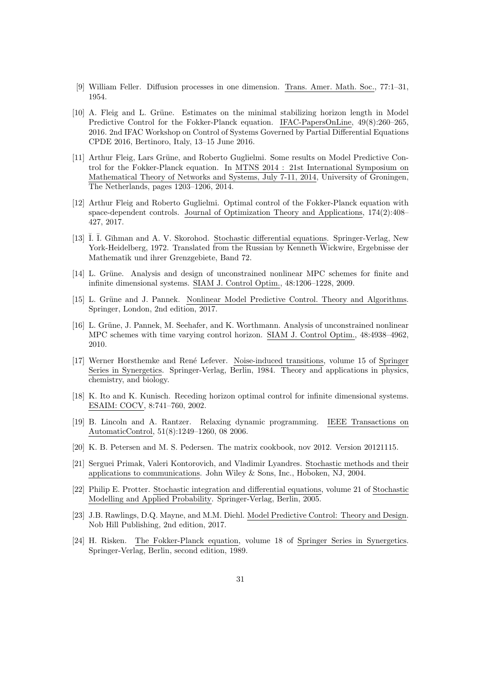- <span id="page-30-10"></span>[9] William Feller. Diffusion processes in one dimension. Trans. Amer. Math. Soc., 77:1–31, 1954.
- <span id="page-30-5"></span>[10] A. Fleig and L. Grüne. Estimates on the minimal stabilizing horizon length in Model Predictive Control for the Fokker-Planck equation. IFAC-PapersOnLine, 49(8):260–265, 2016. 2nd IFAC Workshop on Control of Systems Governed by Partial Differential Equations CPDE 2016, Bertinoro, Italy, 13–15 June 2016.
- <span id="page-30-0"></span>[11] Arthur Fleig, Lars Grüne, and Roberto Guglielmi. Some results on Model Predictive Control for the Fokker-Planck equation. In MTNS 2014 : 21st International Symposium on Mathematical Theory of Networks and Systems, July 7-11, 2014, University of Groningen, The Netherlands, pages 1203–1206, 2014.
- <span id="page-30-4"></span>[12] Arthur Fleig and Roberto Guglielmi. Optimal control of the Fokker-Planck equation with space-dependent controls. Journal of Optimization Theory and Applications, 174(2):408– 427, 2017.
- <span id="page-30-12"></span>[13]  $\tilde{I}$ .  $\overline{I}$ . G $\tilde{I}$ hman and A. V. Skorohod. Stochastic differential equations. Springer-Verlag, New York-Heidelberg, 1972. Translated from the Russian by Kenneth Wickwire, Ergebnisse der Mathematik und ihrer Grenzgebiete, Band 72.
- <span id="page-30-6"></span>[14] L. Grüne. Analysis and design of unconstrained nonlinear MPC schemes for finite and infinite dimensional systems. SIAM J. Control Optim., 48:1206–1228, 2009.
- <span id="page-30-1"></span>[15] L. Grüne and J. Pannek. Nonlinear Model Predictive Control. Theory and Algorithms. Springer, London, 2nd edition, 2017.
- <span id="page-30-7"></span>[16] L. Grüne, J. Pannek, M. Seehafer, and K. Worthmann. Analysis of unconstrained nonlinear MPC schemes with time varying control horizon. SIAM J. Control Optim., 48:4938–4962, 2010.
- <span id="page-30-11"></span>[17] Werner Horsthemke and René Lefever. Noise-induced transitions, volume 15 of Springer Series in Synergetics. Springer-Verlag, Berlin, 1984. Theory and applications in physics, chemistry, and biology.
- <span id="page-30-13"></span>[18] K. Ito and K. Kunisch. Receding horizon optimal control for infinite dimensional systems. ESAIM: COCV, 8:741–760, 2002.
- <span id="page-30-14"></span>[19] B. Lincoln and A. Rantzer. Relaxing dynamic programming. IEEE Transactions on AutomaticControl, 51(8):1249–1260, 08 2006.
- <span id="page-30-15"></span>[20] K. B. Petersen and M. S. Pedersen. The matrix cookbook, nov 2012. Version 20121115.
- <span id="page-30-8"></span>[21] Serguei Primak, Valeri Kontorovich, and Vladimir Lyandres. Stochastic methods and their applications to communications. John Wiley & Sons, Inc., Hoboken, NJ, 2004.
- <span id="page-30-9"></span>[22] Philip E. Protter. Stochastic integration and differential equations, volume 21 of Stochastic Modelling and Applied Probability. Springer-Verlag, Berlin, 2005.
- <span id="page-30-2"></span>[23] J.B. Rawlings, D.Q. Mayne, and M.M. Diehl. Model Predictive Control: Theory and Design. Nob Hill Publishing, 2nd edition, 2017.
- <span id="page-30-3"></span>[24] H. Risken. The Fokker-Planck equation, volume 18 of Springer Series in Synergetics. Springer-Verlag, Berlin, second edition, 1989.